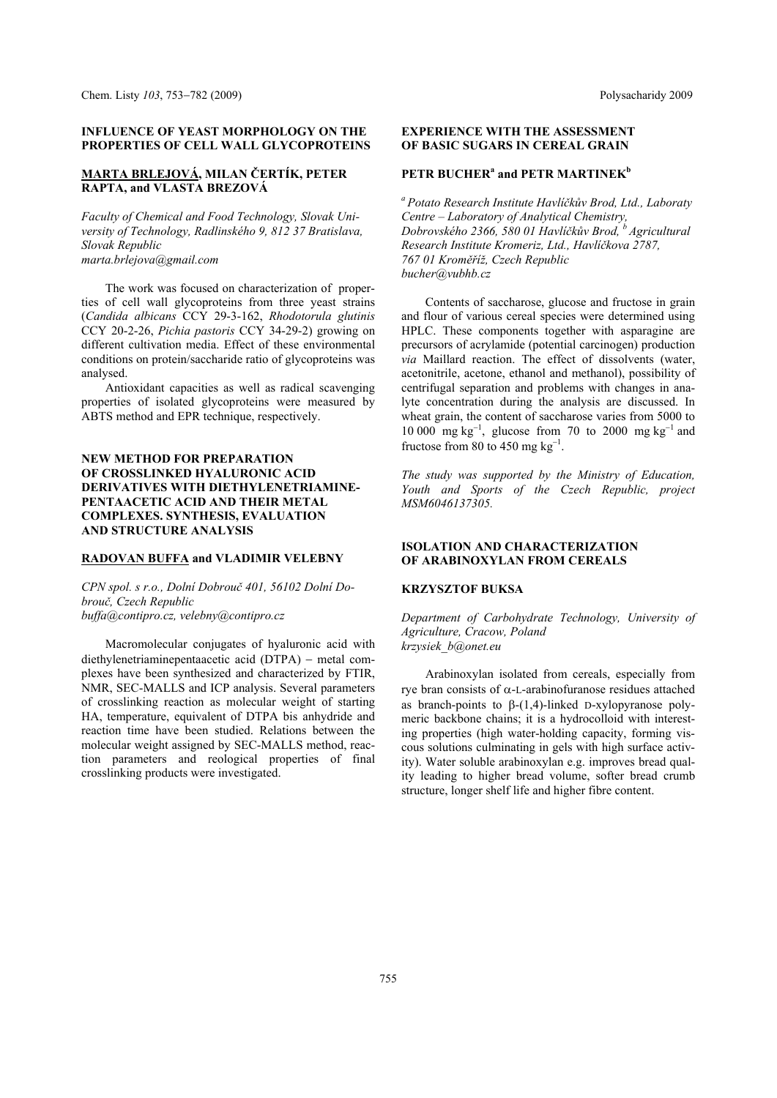#### **INFLUENCE OF YEAST MORPHOLOGY ON THE PROPERTIES OF CELL WALL GLYCOPROTEINS**

## **MARTA BRLEJOVÁ, MILAN ČERTÍK, PETER RAPTA, and VLASTA BREZOVÁ**

*Faculty of Chemical and Food Technology, Slovak University of Technology, Radlinského 9, 812 37 Bratislava, Slovak Republic marta.brlejova@gmail.com* 

The work was focused on characterization of properties of cell wall glycoproteins from three yeast strains (*Candida albicans* CCY 29-3-162, *Rhodotorula glutinis* CCY 20-2-26, *Pichia pastoris* CCY 34-29-2) growing on different cultivation media. Effect of these environmental conditions on protein/saccharide ratio of glycoproteins was analysed.

Antioxidant capacities as well as radical scavenging properties of isolated glycoproteins were measured by ABTS method and EPR technique, respectively.

# **NEW METHOD FOR PREPARATION OF CROSSLINKED HYALURONIC ACID DERIVATIVES WITH DIETHYLENETRIAMINE-PENTAACETIC ACID AND THEIR METAL COMPLEXES. SYNTHESIS, EVALUATION AND STRUCTURE ANALYSIS**

### **RADOVAN BUFFA and VLADIMIR VELEBNY**

*CPN spol. s r.o., Dolní Dobrouč 401, 56102 Dolní Dobrouč, Czech Republic buffa@contipro.cz, velebny@contipro.cz* 

Macromolecular conjugates of hyaluronic acid with diethylenetriaminepentaacetic acid (DTPA) – metal complexes have been synthesized and characterized by FTIR, NMR, SEC-MALLS and ICP analysis. Several parameters of crosslinking reaction as molecular weight of starting HA, temperature, equivalent of DTPA bis anhydride and reaction time have been studied. Relations between the molecular weight assigned by SEC-MALLS method, reaction parameters and reological properties of final crosslinking products were investigated.

### **EXPERIENCE WITH THE ASSESSMENT OF BASIC SUGARS IN CEREAL GRAIN**

# **PETR BUCHER<sup>a</sup> and PETR MARTINEK<sup>b</sup>**

*a Potato Research Institute Havlíčkův Brod, Ltd., Laboraty Centre – Laboratory of Analytical Chemistry, Dobrovského 2366, 580 01 Havlíčkův Brod, b Agricultural Research Institute Kromeriz, Ltd., Havlíčkova 2787, 767 01 Kroměříž, Czech Republic bucher@vubhb.cz* 

Contents of saccharose, glucose and fructose in grain and flour of various cereal species were determined using HPLC. These components together with asparagine are precursors of acrylamide (potential carcinogen) production *via* Maillard reaction. The effect of dissolvents (water, acetonitrile, acetone, ethanol and methanol), possibility of centrifugal separation and problems with changes in analyte concentration during the analysis are discussed. In wheat grain, the content of saccharose varies from 5000 to 10 000 mg  $\text{kg}^{-1}$ , glucose from 70 to 2000 mg  $\text{kg}^{-1}$  and fructose from 80 to 450 mg  $kg^{-1}$ .

*The study was supported by the Ministry of Education, Youth and Sports of the Czech Republic, project MSM6046137305.* 

### **ISOLATION AND CHARACTERIZATION OF ARABINOXYLAN FROM CEREALS**

#### **KRZYSZTOF BUKSA**

*Department of Carbohydrate Technology, University of Agriculture, Cracow, Poland krzysiek\_b@onet.eu* 

Arabinoxylan isolated from cereals, especially from rye bran consists of  $\alpha$ -L-arabinofuranose residues attached as branch-points to  $\beta$ -(1,4)-linked D-xylopyranose polymeric backbone chains; it is a hydrocolloid with interesting properties (high water-holding capacity, forming viscous solutions culminating in gels with high surface activity). Water soluble arabinoxylan e.g. improves bread quality leading to higher bread volume, softer bread crumb structure, longer shelf life and higher fibre content.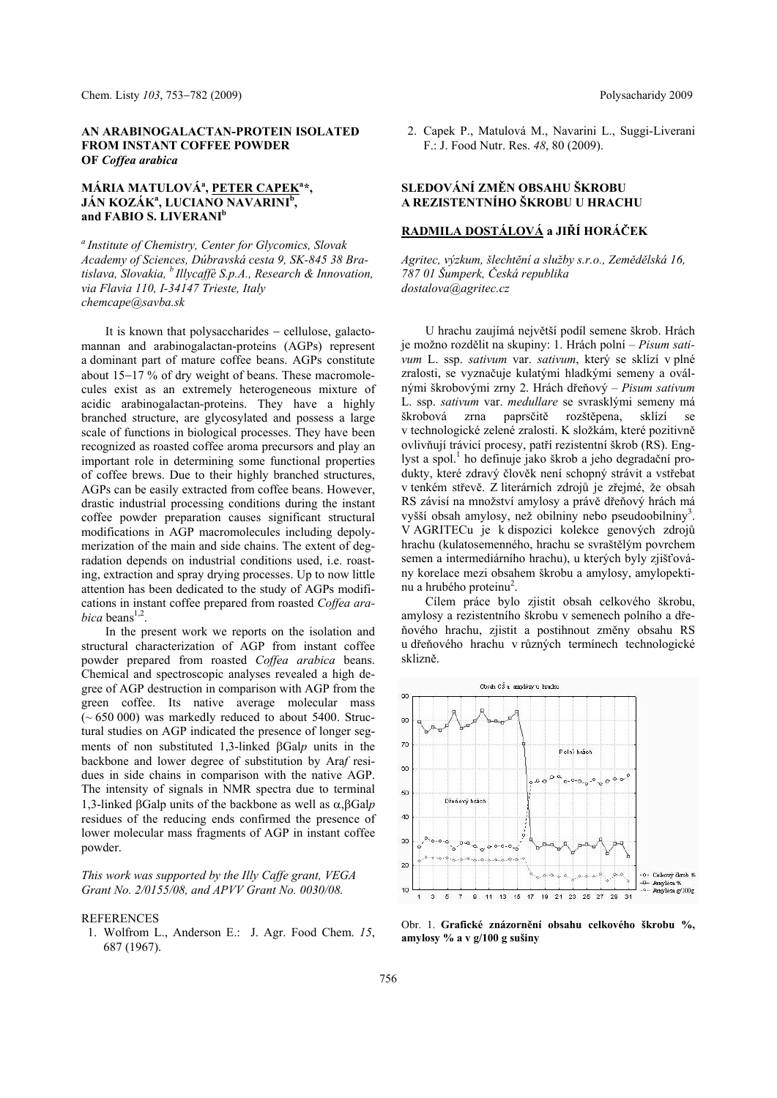### **AN ARABINOGALACTAN-PROTEIN ISOLATED FROM INSTANT COFFEE POWDER OF** *Coffea arabica*

# **MÁRIA MATULOVÁ<sup>a</sup> , PETER CAPEK<sup>a</sup> \*, JÁN KOZÁK<sup>a</sup>, LUCIANO NAVARINI<sup>b</sup>,** and FABIO S. LIVERANI<sup>b</sup>

*a Institute of Chemistry, Center for Glycomics, Slovak Academy of Sciences, Dúbravská cesta 9, SK-845 38 Bratislava, Slovakia, b Illycaffè S.p.A., Research & Innovation, via Flavia 110, I-34147 Trieste, Italy chemcape@savba.sk* 

It is known that polysaccharides  $-$  cellulose, galactomannan and arabinogalactan-proteins (AGPs) represent a dominant part of mature coffee beans. AGPs constitute about  $15-17$  % of dry weight of beans. These macromolecules exist as an extremely heterogeneous mixture of acidic arabinogalactan-proteins. They have a highly branched structure, are glycosylated and possess a large scale of functions in biological processes. They have been recognized as roasted coffee aroma precursors and play an important role in determining some functional properties of coffee brews. Due to their highly branched structures, AGPs can be easily extracted from coffee beans. However, drastic industrial processing conditions during the instant coffee powder preparation causes significant structural modifications in AGP macromolecules including depolymerization of the main and side chains. The extent of degradation depends on industrial conditions used, i.e. roasting, extraction and spray drying processes. Up to now little attention has been dedicated to the study of AGPs modifications in instant coffee prepared from roasted *Coffea arabica* beans<sup> $1,2$ </sup>.

In the present work we reports on the isolation and structural characterization of AGP from instant coffee powder prepared from roasted *Coffea arabica* beans. Chemical and spectroscopic analyses revealed a high degree of AGP destruction in comparison with AGP from the green coffee. Its native average molecular mass  $(-650000)$  was markedly reduced to about 5400. Structural studies on AGP indicated the presence of longer segments of non substituted 1,3-linked Gal*p* units in the backbone and lower degree of substitution by Ara*f* residues in side chains in comparison with the native AGP. The intensity of signals in NMR spectra due to terminal 1,3-linked  $\beta$ Galp units of the backbone as well as  $\alpha$ ,  $\beta$ Galp residues of the reducing ends confirmed the presence of lower molecular mass fragments of AGP in instant coffee powder.

*This work was supported by the Illy Caffe grant, VEGA Grant No. 2/0155/08, and APVV Grant No. 0030/08.* 

### **REFERENCES**

 1. Wolfrom L., Anderson E.: J. Agr. Food Chem. *15*, 687 (1967).

 2. Capek P., Matulová M., Navarini L., Suggi-Liverani F.: J. Food Nutr. Res. *48*, 80 (2009).

## **SLEDOVÁNÍ ZMĚN OBSAHU ŠKROBU A REZISTENTNÍHO ŠKROBU U HRACHU**

# **RADMILA DOSTÁLOVÁ a JIŘÍ HORÁČEK**

*Agritec, výzkum, šlechtění a služby s.r.o., Zemědělská 16, 787 01 Šumperk, Česká republika dostalova@agritec.cz* 

U hrachu zaujímá největší podíl semene škrob. Hrách je možno rozdělit na skupiny: 1. Hrách polní – *Pisum sativum* L. ssp. *sativum* var. *sativum*, který se sklízí v plné zralosti, se vyznačuje kulatými hladkými semeny a oválnými škrobovými zrny 2. Hrách dřeňový – *Pisum sativum* L. ssp. *sativum* var. *medullare* se svrasklými semeny má škrobová zrna paprsčitě rozštěpena, sklízí se v technologické zelené zralosti. K složkám, které pozitivně ovlivňují trávicí procesy, patří rezistentní škrob (RS). Englyst a spol.<sup>1</sup> ho definuje jako škrob a jeho degradační produkty, které zdravý člověk není schopný strávit a vstřebat v tenkém střevě. Z literárních zdrojů je zřejmé, že obsah RS závisí na množství amylosy a právě dřeňový hrách má vyšší obsah amylosy, než obilniny nebo pseudoobilniny<sup>3</sup>. V AGRITECu je k dispozici kolekce genových zdrojů hrachu (kulatosemenného, hrachu se svraštělým povrchem semen a intermediárního hrachu), u kterých byly zjišťovány korelace mezi obsahem škrobu a amylosy, amylopektinu a hrubého proteinu<sup>2</sup>.

Cílem práce bylo zjistit obsah celkového škrobu, amylosy a rezistentního škrobu v semenech polního a dřeňového hrachu, zjistit a postihnout změny obsahu RS u dřeňového hrachu v různých termínech technologické sklizně.



Obr. 1. **Grafické znázornění obsahu celkového škrobu %, amylosy % a v g/100 g sušiny**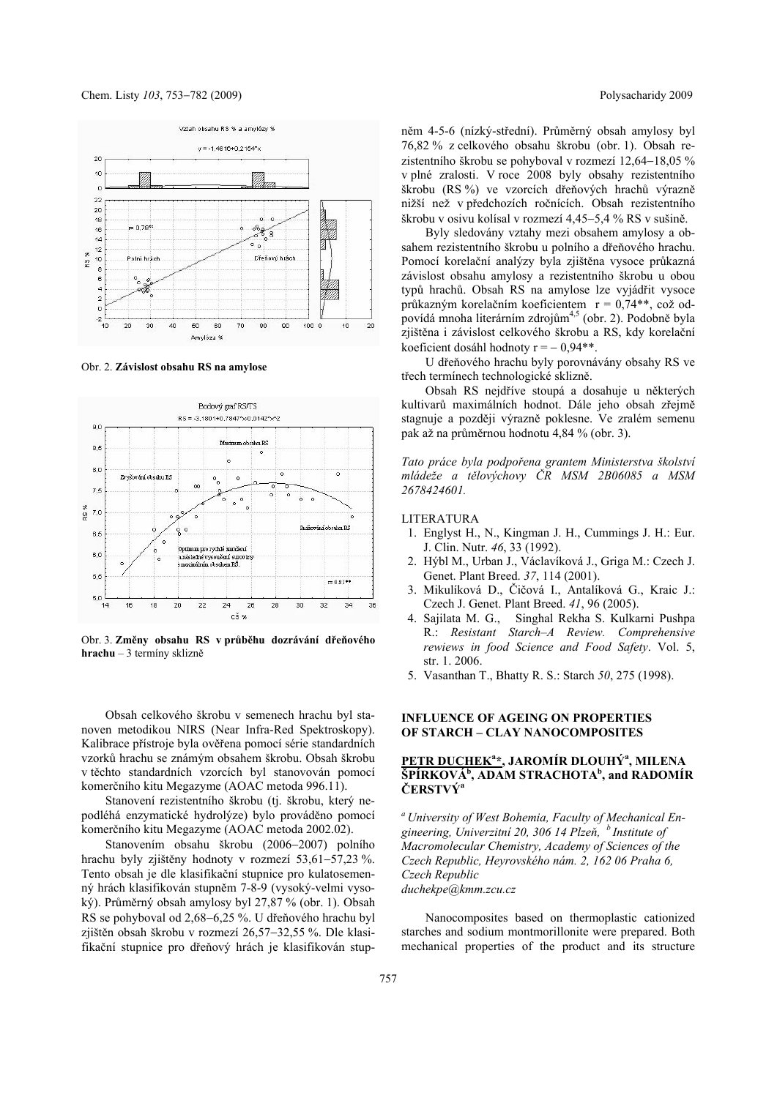

Obr. 2. **Závislost obsahu RS na amylose** 



Obr. 3. **Změny obsahu RS v průběhu dozrávání dřeňového hrachu** – 3 termíny sklizně

Obsah celkového škrobu v semenech hrachu byl stanoven metodikou NIRS (Near Infra-Red Spektroskopy). Kalibrace přístroje byla ověřena pomocí série standardních vzorků hrachu se známým obsahem škrobu. Obsah škrobu v těchto standardních vzorcích byl stanovován pomocí komerčního kitu Megazyme (AOAC metoda 996.11).

Stanovení rezistentního škrobu (tj. škrobu, který nepodléhá enzymatické hydrolýze) bylo prováděno pomocí komerčního kitu Megazyme (AOAC metoda 2002.02).

Stanovením obsahu škrobu (2006–2007) polního hrachu byly zjištěny hodnoty v rozmezí  $53,61-57,23$  %. Tento obsah je dle klasifikační stupnice pro kulatosemenný hrách klasifikován stupněm 7-8-9 (vysoký-velmi vysoký). Průměrný obsah amylosy byl 27,87 % (obr. 1). Obsah RS se pohyboval od 2,68–6,25 %. U dřeňového hrachu byl zjištěn obsah škrobu v rozmezí 26,57-32,55 %. Dle klasifikační stupnice pro dřeňový hrách je klasifikován stupněm 4-5-6 (nízký-střední). Průměrný obsah amylosy byl 76,82 % z celkového obsahu škrobu (obr. 1). Obsah rezistentního škrobu se pohyboval v rozmezí  $12,64-18,05\%$ v plné zralosti. V roce 2008 byly obsahy rezistentního škrobu (RS %) ve vzorcích dřeňových hrachů výrazně nižší než v předchozích ročnících. Obsah rezistentního škrobu v osivu kolísal v rozmezí 4,45–5,4 % RS v sušině.

Byly sledovány vztahy mezi obsahem amylosy a obsahem rezistentního škrobu u polního a dřeňového hrachu. Pomocí korelační analýzy byla zjištěna vysoce průkazná závislost obsahu amylosy a rezistentního škrobu u obou typů hrachů. Obsah RS na amylose lze vyjádřit vysoce průkazným korelačním koeficientem r = 0,74\*\*, což odpovídá mnoha literárním zdrojům<sup>4,5</sup> (obr. 2). Podobně byla zjištěna i závislost celkového škrobu a RS, kdy korelační koeficient dosáhl hodnoty  $r = -0.94**$ .

U dřeňového hrachu byly porovnávány obsahy RS ve třech termínech technologické sklizně.

Obsah RS nejdříve stoupá a dosahuje u některých kultivarů maximálních hodnot. Dále jeho obsah zřejmě stagnuje a později výrazně poklesne. Ve zralém semenu pak až na průměrnou hodnotu 4,84 % (obr. 3).

*Tato práce byla podpořena grantem Ministerstva školství mládeže a tělovýchovy ČR MSM 2B06085 a MSM 2678424601.* 

#### LITERATURA

- 1. Englyst H., N., Kingman J. H., Cummings J. H.: Eur. J. Clin. Nutr. *46*, 33 (1992).
- 2. Hýbl M., Urban J., Václavíková J., Griga M.: Czech J. Genet. Plant Breed. *37*, 114 (2001).
- 3. Mikulíková D., Čičová I., Antalíková G., Kraic J.: Czech J. Genet. Plant Breed. *41*, 96 (2005).
- 4. Sajilata M. G., Singhal Rekha S. Kulkarni Pushpa R.: *Resistant Starch–A Review. Comprehensive rewiews in food Science and Food Safety*. Vol. 5, str. 1. 2006.
- 5. Vasanthan T., Bhatty R. S.: Starch *50*, 275 (1998).

### **INFLUENCE OF AGEING ON PROPERTIES OF STARCH – CLAY NANOCOMPOSITES**

# **PETR DUCHEK<sup>a</sup> \*, JAROMÍR DLOUHÝa , MILENA**   $\overline{\text{SP}}$ *ERKOVÁ<sup>b</sup>*, ADAM STRACHOTA<sup>b</sup>, and RADOMÍR **ČERSTVÝa**

*a University of West Bohemia, Faculty of Mechanical Engineering, Univerzitní 20, 306 14 Plzeň, b Institute of Macromolecular Chemistry, Academy of Sciences of the Czech Republic, Heyrovského nám. 2, 162 06 Praha 6, Czech Republic duchekpe@kmm.zcu.cz* 

Nanocomposites based on thermoplastic cationized starches and sodium montmorillonite were prepared. Both mechanical properties of the product and its structure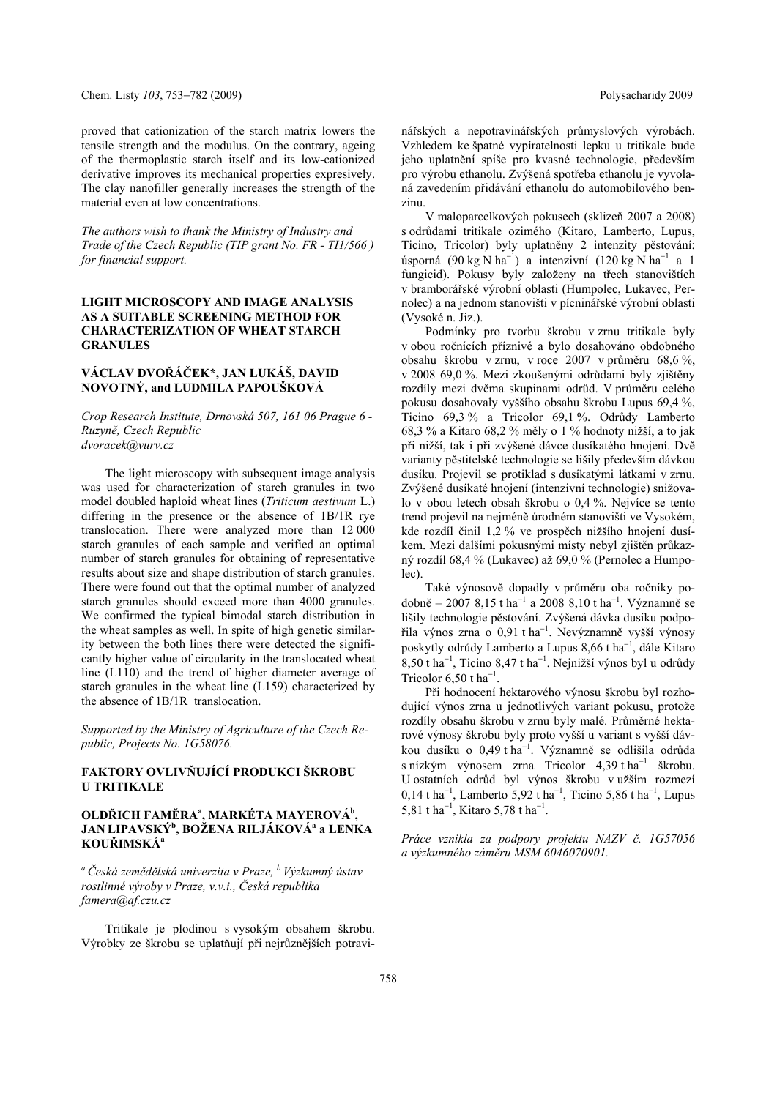proved that cationization of the starch matrix lowers the tensile strength and the modulus. On the contrary, ageing of the thermoplastic starch itself and its low-cationized derivative improves its mechanical properties expresively. The clay nanofiller generally increases the strength of the material even at low concentrations.

*The authors wish to thank the Ministry of Industry and Trade of the Czech Republic (TIP grant No. FR - TI1/566 ) for financial support.* 

### **LIGHT MICROSCOPY AND IMAGE ANALYSIS AS A SUITABLE SCREENING METHOD FOR CHARACTERIZATION OF WHEAT STARCH GRANULES**

## **VÁCLAV DVOŘÁČEK\*, JAN LUKÁŠ, DAVID NOVOTNÝ, and LUDMILA PAPOUŠKOVÁ**

*Crop Research Institute, Drnovská 507, 161 06 Prague 6 - Ruzyně, Czech Republic dvoracek@vurv.cz* 

The light microscopy with subsequent image analysis was used for characterization of starch granules in two model doubled haploid wheat lines (*Triticum aestivum* L.) differing in the presence or the absence of 1B/1R rye translocation. There were analyzed more than 12 000 starch granules of each sample and verified an optimal number of starch granules for obtaining of representative results about size and shape distribution of starch granules. There were found out that the optimal number of analyzed starch granules should exceed more than 4000 granules. We confirmed the typical bimodal starch distribution in the wheat samples as well. In spite of high genetic similarity between the both lines there were detected the significantly higher value of circularity in the translocated wheat line (L110) and the trend of higher diameter average of starch granules in the wheat line (L159) characterized by the absence of 1B/1R translocation.

*Supported by the Ministry of Agriculture of the Czech Republic, Projects No. 1G58076.* 

## **FAKTORY OVLIVŇUJÍCÍ PRODUKCI ŠKROBU U TRITIKALE**

## **OLDŘICH FAMĚRAa , MARKÉTA MAYEROVÁb , JAN LIPAVSKÝ<sup>b</sup> , BOŽENA RILJÁKOVÁ<sup>a</sup> a LENKA KOUŘIMSKÁ<sup>a</sup>**

*<sup>a</sup>Česká zemědělská univerzita v Praze, b Výzkumný ústav rostlinné výroby v Praze, v.v.i., Česká republika famera@af.czu.cz* 

Tritikale je plodinou s vysokým obsahem škrobu. Výrobky ze škrobu se uplatňují při nejrůznějších potravi-

nářských a nepotravinářských průmyslových výrobách. Vzhledem ke špatné vypíratelnosti lepku u tritikale bude jeho uplatnění spíše pro kvasné technologie, především pro výrobu ethanolu. Zvýšená spotřeba ethanolu je vyvolaná zavedením přidávání ethanolu do automobilového benzinu.

V maloparcelkových pokusech (sklizeň 2007 a 2008) s odrůdami tritikale ozimého (Kitaro, Lamberto, Lupus, Ticino, Tricolor) byly uplatněny 2 intenzity pěstování: úsporná (90 kg N ha<sup>-1</sup>) a intenzivní (120 kg N ha<sup>-1</sup> a 1 fungicid). Pokusy byly založeny na třech stanovištích v bramborářské výrobní oblasti (Humpolec, Lukavec, Pernolec) a na jednom stanovišti v pícninářské výrobní oblasti (Vysoké n. Jiz.).

Podmínky pro tvorbu škrobu v zrnu tritikale byly v obou ročnících příznivé a bylo dosahováno obdobného obsahu škrobu v zrnu, v roce 2007 v průměru 68,6 %, v 2008 69,0 %. Mezi zkoušenými odrůdami byly zjištěny rozdíly mezi dvěma skupinami odrůd. V průměru celého pokusu dosahovaly vyššího obsahu škrobu Lupus 69,4 %, Ticino 69,3 % a Tricolor 69,1 %. Odrůdy Lamberto 68,3 % a Kitaro 68,2 % měly o 1 % hodnoty nižší, a to jak při nižší, tak i při zvýšené dávce dusíkatého hnojení. Dvě varianty pěstitelské technologie se lišily především dávkou dusíku. Projevil se protiklad s dusíkatými látkami v zrnu. Zvýšené dusíkaté hnojení (intenzivní technologie) snižovalo v obou letech obsah škrobu o 0,4 %. Nejvíce se tento trend projevil na nejméně úrodném stanovišti ve Vysokém, kde rozdíl činil 1,2 % ve prospěch nižšího hnojení dusíkem. Mezi dalšími pokusnými místy nebyl zjištěn průkazný rozdíl 68,4 % (Lukavec) až 69,0 % (Pernolec a Humpolec).

Také výnosově dopadly v průměru oba ročníky podobně – 2007 8,15 t ha<sup>-1</sup> a 2008 8,10 t ha<sup>-1</sup>. Významně se lišily technologie pěstování. Zvýšená dávka dusíku podpořila výnos zrna o 0,91 t ha<sup>-1</sup>. Nevýznamně vyšší výnosy poskytly odrůdy Lamberto a Lupus  $8,66$  t ha<sup>-1</sup>, dále Kitaro  $8,50$  t ha<sup>-1</sup>, Ticino  $8,47$  t ha<sup>-1</sup>. Nejnižší výnos byl u odrůdy Tricolor  $6,50$  t ha<sup>-1</sup>.

Při hodnocení hektarového výnosu škrobu byl rozhodující výnos zrna u jednotlivých variant pokusu, protože rozdíly obsahu škrobu v zrnu byly malé. Průměrné hektarové výnosy škrobu byly proto vyšší u variant s vyšší dávkou dusíku o  $0,49$  t ha<sup>-1</sup>. Významně se odlišila odrůda s nízkým výnosem zrna Tricolor  $4,39$  t ha<sup>-1</sup> škrobu. U ostatních odrůd byl výnos škrobu v užším rozmezí  $0,14$  t ha<sup>-1</sup>, Lamberto 5,92 t ha<sup>-1</sup>, Ticino 5,86 t ha<sup>-1</sup>, Lupus 5,81 t ha<sup>-1</sup>, Kitaro 5,78 t ha<sup>-1</sup>.

*Práce vznikla za podpory projektu NAZV č. 1G57056 a výzkumného záměru MSM 6046070901.*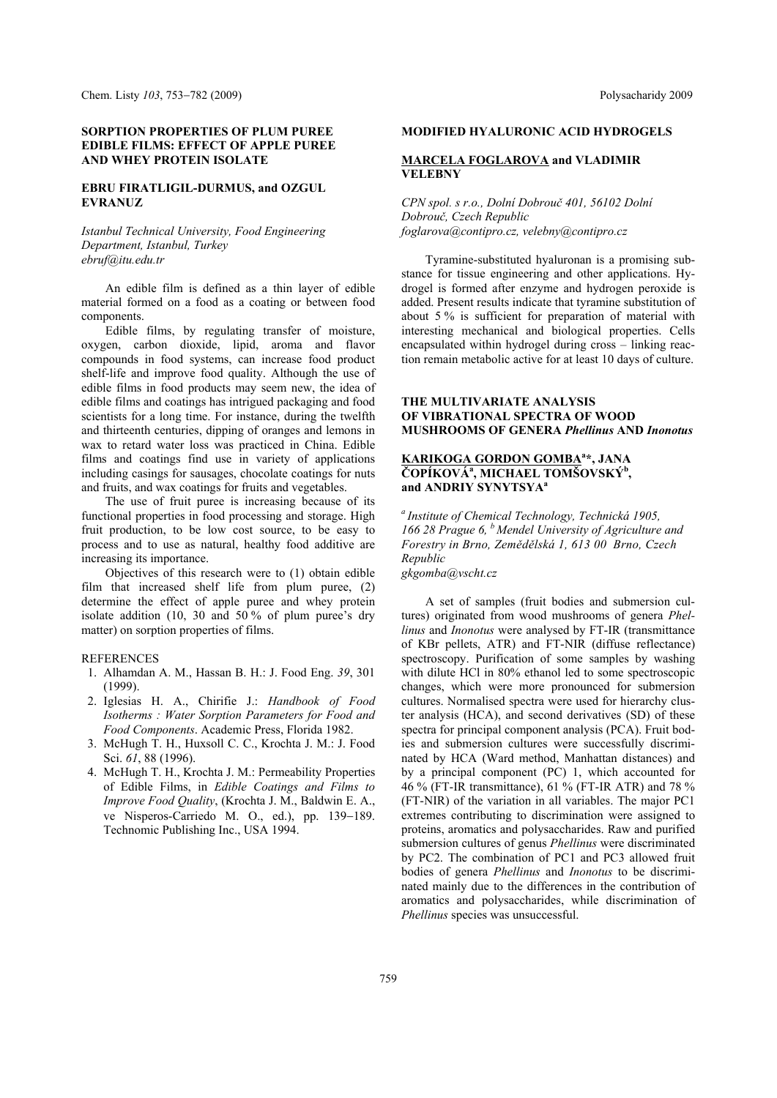### **SORPTION PROPERTIES OF PLUM PUREE EDIBLE FILMS: EFFECT OF APPLE PUREE AND WHEY PROTEIN ISOLATE**

### **EBRU FIRATLIGIL-DURMUS, and OZGUL EVRANUZ**

*Istanbul Technical University, Food Engineering Department, Istanbul, Turkey ebruf@itu.edu.tr* 

An edible film is defined as a thin layer of edible material formed on a food as a coating or between food components.

Edible films, by regulating transfer of moisture, oxygen, carbon dioxide, lipid, aroma and flavor compounds in food systems, can increase food product shelf-life and improve food quality. Although the use of edible films in food products may seem new, the idea of edible films and coatings has intrigued packaging and food scientists for a long time. For instance, during the twelfth and thirteenth centuries, dipping of oranges and lemons in wax to retard water loss was practiced in China. Edible films and coatings find use in variety of applications including casings for sausages, chocolate coatings for nuts and fruits, and wax coatings for fruits and vegetables.

The use of fruit puree is increasing because of its functional properties in food processing and storage. High fruit production, to be low cost source, to be easy to process and to use as natural, healthy food additive are increasing its importance.

Objectives of this research were to (1) obtain edible film that increased shelf life from plum puree, (2) determine the effect of apple puree and whey protein isolate addition (10, 30 and 50 % of plum puree's dry matter) on sorption properties of films.

#### REFERENCES

- 1. Alhamdan A. M., Hassan B. H.: J. Food Eng. *39*, 301 (1999).
- 2. Iglesias H. A., Chirifie J.: *Handbook of Food Isotherms : Water Sorption Parameters for Food and Food Components*. Academic Press, Florida 1982.
- 3. McHugh T. H., Huxsoll C. C., Krochta J. M.: J. Food Sci. *61*, 88 (1996).
- 4. McHugh T. H., Krochta J. M.: Permeability Properties of Edible Films, in *Edible Coatings and Films to Improve Food Quality*, (Krochta J. M., Baldwin E. A., ve Nisperos-Carriedo M. O., ed.), pp. 139-189. Technomic Publishing Inc., USA 1994.

#### **MODIFIED HYALURONIC ACID HYDROGELS**

### **MARCELA FOGLAROVA and VLADIMIR VELEBNY**

*CPN spol. s r.o., Dolní Dobrouč 401, 56102 Dolní Dobrouč, Czech Republic foglarova@contipro.cz, velebny@contipro.cz* 

Tyramine-substituted hyaluronan is a promising substance for tissue engineering and other applications. Hydrogel is formed after enzyme and hydrogen peroxide is added. Present results indicate that tyramine substitution of about 5 % is sufficient for preparation of material with interesting mechanical and biological properties. Cells encapsulated within hydrogel during cross – linking reaction remain metabolic active for at least 10 days of culture.

### **THE MULTIVARIATE ANALYSIS OF VIBRATIONAL SPECTRA OF WOOD MUSHROOMS OF GENERA** *Phellinus* **AND** *Inonotus*

### **KARIKOGA GORDON GOMBA<sup>a</sup>\*, JANA**  $\check{\text{COP}}$ ÍKOVÁ<sup>a</sup>, MICHAEL TOMŠOVSKÝ<sup>b</sup>, **and ANDRIY SYNYTSYA<sup>a</sup>**

*a Institute of Chemical Technology, Technická 1905, 166 28 Prague 6, b Mendel University of Agriculture and Forestry in Brno, Zemědělská 1, 613 00 Brno, Czech Republic gkgomba@vscht.cz* 

A set of samples (fruit bodies and submersion cultures) originated from wood mushrooms of genera *Phellinus* and *Inonotus* were analysed by FT-IR (transmittance of KBr pellets, ATR) and FT-NIR (diffuse reflectance) spectroscopy. Purification of some samples by washing with dilute HCl in 80% ethanol led to some spectroscopic changes, which were more pronounced for submersion cultures. Normalised spectra were used for hierarchy cluster analysis (HCA), and second derivatives (SD) of these spectra for principal component analysis (PCA). Fruit bodies and submersion cultures were successfully discriminated by HCA (Ward method, Manhattan distances) and by a principal component (PC) 1, which accounted for 46 % (FT-IR transmittance), 61 % (FT-IR ATR) and 78 % (FT-NIR) of the variation in all variables. The major PC1 extremes contributing to discrimination were assigned to proteins, aromatics and polysaccharides. Raw and purified submersion cultures of genus *Phellinus* were discriminated by PC2. The combination of PC1 and PC3 allowed fruit bodies of genera *Phellinus* and *Inonotus* to be discriminated mainly due to the differences in the contribution of aromatics and polysaccharides, while discrimination of *Phellinus* species was unsuccessful.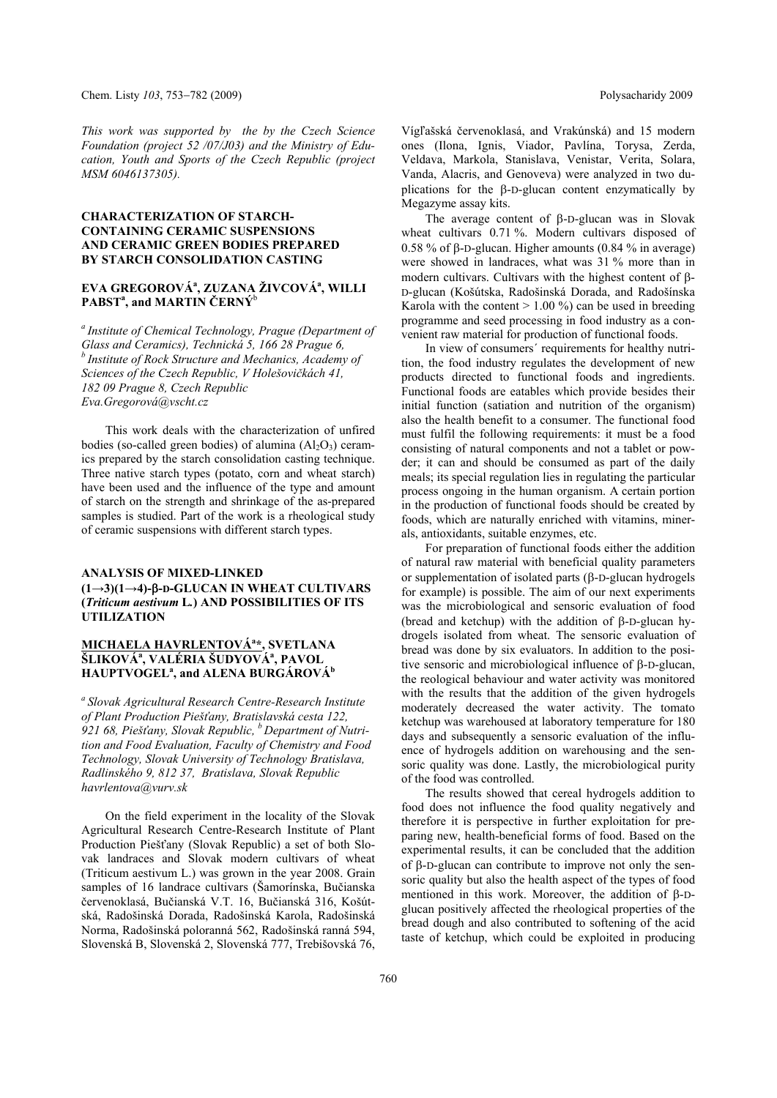*This work was supported by the by the Czech Science Foundation (project 52 /07/J03) and the Ministry of Education, Youth and Sports of the Czech Republic (project MSM 6046137305).* 

### **CHARACTERIZATION OF STARCH-CONTAINING CERAMIC SUSPENSIONS AND CERAMIC GREEN BODIES PREPARED BY STARCH CONSOLIDATION CASTING**

## **EVA GREGOROVÁa , ZUZANA ŽIVCOVÁa , WILLI**   $\mathbf{PABST}^{a}$ , and **MARTIN** ČERNÝ<sup>b</sup>

*a Institute of Chemical Technology, Prague (Department of Glass and Ceramics), Technická 5, 166 28 Prague 6, b Institute of Rock Structure and Mechanics, Academy of Sciences of the Czech Republic, V Holešovičkách 41, 182 09 Prague 8, Czech Republic Eva.Gregorová@vscht.cz* 

This work deals with the characterization of unfired bodies (so-called green bodies) of alumina  $(A<sub>2</sub>O<sub>3</sub>)$  ceramics prepared by the starch consolidation casting technique. Three native starch types (potato, corn and wheat starch) have been used and the influence of the type and amount of starch on the strength and shrinkage of the as-prepared samples is studied. Part of the work is a rheological study of ceramic suspensions with different starch types.

# **ANALYSIS OF MIXED-LINKED (1→3)(1→4)--D-GLUCAN IN WHEAT CULTIVARS (***Triticum aestivum* **L***.***) AND POSSIBILITIES OF ITS UTILIZATION**

## **MICHAELA HAVRLENTOVÁ<sup>a</sup> \*, SVETLANA**  ŠLIKOVÁª, VALÉRIA ŠUDYOVÁª, PAVOL **HAUPTVOGEL<sup>a</sup> , and ALENA BURGÁROVÁb**

*a Slovak Agricultural Research Centre-Research Institute of Plant Production Piešťany, Bratislavská cesta 122,*  921 68, Piešťany, Slovak Republic, <sup>b</sup> Department of Nutri*tion and Food Evaluation, Faculty of Chemistry and Food Technology, Slovak University of Technology Bratislava, Radlinského 9, 812 37, Bratislava, Slovak Republic havrlentova@vurv.sk* 

On the field experiment in the locality of the Slovak Agricultural Research Centre-Research Institute of Plant Production Piešťany (Slovak Republic) a set of both Slovak landraces and Slovak modern cultivars of wheat (Triticum aestivum L.) was grown in the year 2008. Grain samples of 16 landrace cultivars (Šamorínska, Bučianska červenoklasá, Bučianská V.T. 16, Bučianská 316, Košútská, Radošinská Dorada, Radošinská Karola, Radošinská Norma, Radošinská poloranná 562, Radošinská ranná 594, Slovenská B, Slovenská 2, Slovenská 777, Trebišovská 76, Vígľašská červenoklasá, and Vrakúnská) and 15 modern ones (Ilona, Ignis, Viador, Pavlína, Torysa, Zerda, Veldava, Markola, Stanislava, Venistar, Verita, Solara, Vanda, Alacris, and Genoveva) were analyzed in two duplications for the  $\beta$ -D-glucan content enzymatically by Megazyme assay kits.

The average content of  $\beta$ -D-glucan was in Slovak wheat cultivars 0.71 %. Modern cultivars disposed of 0.58 % of  $\beta$ -D-glucan. Higher amounts (0.84 % in average) were showed in landraces, what was 31 % more than in modern cultivars. Cultivars with the highest content of  $\beta$ -D-glucan (Košútska, Radošinská Dorada, and Radošínska Karola with the content  $> 1.00\%$  can be used in breeding programme and seed processing in food industry as a convenient raw material for production of functional foods.

In view of consumers´ requirements for healthy nutrition, the food industry regulates the development of new products directed to functional foods and ingredients. Functional foods are eatables which provide besides their initial function (satiation and nutrition of the organism) also the health benefit to a consumer. The functional food must fulfil the following requirements: it must be a food consisting of natural components and not a tablet or powder; it can and should be consumed as part of the daily meals; its special regulation lies in regulating the particular process ongoing in the human organism. A certain portion in the production of functional foods should be created by foods, which are naturally enriched with vitamins, minerals, antioxidants, suitable enzymes, etc.

For preparation of functional foods either the addition of natural raw material with beneficial quality parameters or supplementation of isolated parts ( $\beta$ -D-glucan hydrogels for example) is possible. The aim of our next experiments was the microbiological and sensoric evaluation of food (bread and ketchup) with the addition of  $\beta$ -D-glucan hydrogels isolated from wheat. The sensoric evaluation of bread was done by six evaluators. In addition to the positive sensoric and microbiological influence of  $\beta$ -D-glucan, the reological behaviour and water activity was monitored with the results that the addition of the given hydrogels moderately decreased the water activity. The tomato ketchup was warehoused at laboratory temperature for 180 days and subsequently a sensoric evaluation of the influence of hydrogels addition on warehousing and the sensoric quality was done. Lastly, the microbiological purity of the food was controlled.

The results showed that cereal hydrogels addition to food does not influence the food quality negatively and therefore it is perspective in further exploitation for preparing new, health-beneficial forms of food. Based on the experimental results, it can be concluded that the addition of  $\beta$ -D-glucan can contribute to improve not only the sensoric quality but also the health aspect of the types of food mentioned in this work. Moreover, the addition of  $\beta$ -Dglucan positively affected the rheological properties of the bread dough and also contributed to softening of the acid taste of ketchup, which could be exploited in producing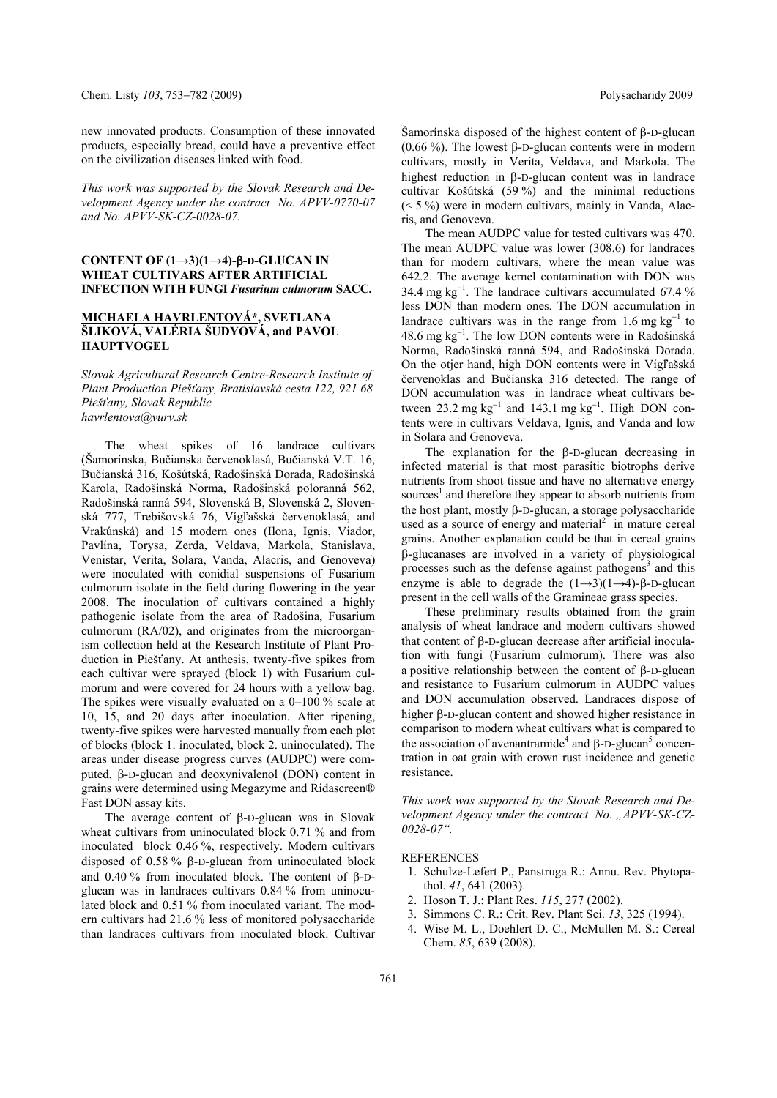new innovated products. Consumption of these innovated products, especially bread, could have a preventive effect on the civilization diseases linked with food.

*This work was supported by the Slovak Research and Development Agency under the contract No. APVV-0770-07 and No. APVV-SK-CZ-0028-07.* 

### **CONTENT OF (1→3)(1→4)--D-GLUCAN IN WHEAT CULTIVARS AFTER ARTIFICIAL INFECTION WITH FUNGI** *Fusarium culmorum* **SACC.**

# **MICHAELA HAVRLENTOVÁ\*, SVETLANA ŠLIKOVÁ, VALÉRIA ŠUDYOVÁ, and PAVOL HAUPTVOGEL**

*Slovak Agricultural Research Centre-Research Institute of Plant Production Piešťany, Bratislavská cesta 122, 921 68 Piešťany, Slovak Republic havrlentova@vurv.sk* 

The wheat spikes of 16 landrace cultivars (Šamorínska, Bučianska červenoklasá, Bučianská V.T. 16, Bučianská 316, Košútská, Radošinská Dorada, Radošinská Karola, Radošinská Norma, Radošinská poloranná 562, Radošinská ranná 594, Slovenská B, Slovenská 2, Slovenská 777, Trebišovská 76, Vígľašská červenoklasá, and Vrakúnská) and 15 modern ones (Ilona, Ignis, Viador, Pavlína, Torysa, Zerda, Veldava, Markola, Stanislava, Venistar, Verita, Solara, Vanda, Alacris, and Genoveva) were inoculated with conidial suspensions of Fusarium culmorum isolate in the field during flowering in the year 2008. The inoculation of cultivars contained a highly pathogenic isolate from the area of Radošina, Fusarium culmorum (RA/02), and originates from the microorganism collection held at the Research Institute of Plant Production in Piešťany. At anthesis, twenty-five spikes from each cultivar were sprayed (block 1) with Fusarium culmorum and were covered for 24 hours with a yellow bag. The spikes were visually evaluated on a 0–100 % scale at 10, 15, and 20 days after inoculation. After ripening, twenty-five spikes were harvested manually from each plot of blocks (block 1. inoculated, block 2. uninoculated). The areas under disease progress curves (AUDPC) were computed,  $\beta$ -D-glucan and deoxynivalenol (DON) content in grains were determined using Megazyme and Ridascreen® Fast DON assay kits.

The average content of  $\beta$ -D-glucan was in Slovak wheat cultivars from uninoculated block 0.71 % and from inoculated block 0.46 %, respectively. Modern cultivars disposed of 0.58 %  $\beta$ -D-glucan from uninoculated block and 0.40 % from inoculated block. The content of  $\beta$ -Dglucan was in landraces cultivars 0.84 % from uninoculated block and 0.51 % from inoculated variant. The modern cultivars had 21.6 % less of monitored polysaccharide than landraces cultivars from inoculated block. Cultivar Šamorínska disposed of the highest content of  $\beta$ -D-glucan (0.66 %). The lowest  $\beta$ -D-glucan contents were in modern cultivars, mostly in Verita, Veldava, and Markola. The highest reduction in  $\beta$ -D-glucan content was in landrace cultivar Košútská (59 %) and the minimal reductions (< 5 %) were in modern cultivars, mainly in Vanda, Alacris, and Genoveva.

The mean AUDPC value for tested cultivars was 470. The mean AUDPC value was lower (308.6) for landraces than for modern cultivars, where the mean value was 642.2. The average kernel contamination with DON was 34.4 mg  $kg^{-1}$ . The landrace cultivars accumulated 67.4 % less DON than modern ones. The DON accumulation in landrace cultivars was in the range from  $1.6 \text{ mg kg}^{-1}$  to  $48.6$  mg kg<sup>-1</sup>. The low DON contents were in Radošinská Norma, Radošinská ranná 594, and Radošinská Dorada. On the otjer hand, high DON contents were in Vígľašská červenoklas and Bučianska 316 detected. The range of DON accumulation was in landrace wheat cultivars between 23.2 mg  $kg^{-1}$  and 143.1 mg  $kg^{-1}$ . High DON contents were in cultivars Veldava, Ignis, and Vanda and low in Solara and Genoveva.

The explanation for the  $\beta$ -D-glucan decreasing in infected material is that most parasitic biotrophs derive nutrients from shoot tissue and have no alternative energy sources<sup>1</sup> and therefore they appear to absorb nutrients from the host plant, mostly  $\beta$ -D-glucan, a storage polysaccharide used as a source of energy and material $2\degree$  in mature cereal grains. Another explanation could be that in cereal grains -glucanases are involved in a variety of physiological processes such as the defense against pathogens<sup>3</sup> and this enzyme is able to degrade the  $(1\rightarrow 3)(1\rightarrow 4)$ - $\beta$ -D-glucan present in the cell walls of the Gramineae grass species.

These preliminary results obtained from the grain analysis of wheat landrace and modern cultivars showed that content of  $\beta$ -D-glucan decrease after artificial inoculation with fungi (Fusarium culmorum). There was also a positive relationship between the content of  $\beta$ -D-glucan and resistance to Fusarium culmorum in AUDPC values and DON accumulation observed. Landraces dispose of higher  $\beta$ -D-glucan content and showed higher resistance in comparison to modern wheat cultivars what is compared to the association of avenantramide<sup>4</sup> and  $\beta$ -D-glucan<sup>5</sup> concentration in oat grain with crown rust incidence and genetic resistance.

*This work was supported by the Slovak Research and Development Agency under the contract No. "APVV-SK-CZ-0028-07".* 

### **REFERENCES**

- 1. Schulze-Lefert P., Panstruga R.: Annu. Rev. Phytopathol. *41*, 641 (2003).
- 2. Hoson T. J.: Plant Res. *115*, 277 (2002).
- 3. Simmons C. R.: Crit. Rev. Plant Sci. *13*, 325 (1994).
- 4. Wise M. L., Doehlert D. C., McMullen M. S.: Cereal Chem. *85*, 639 (2008).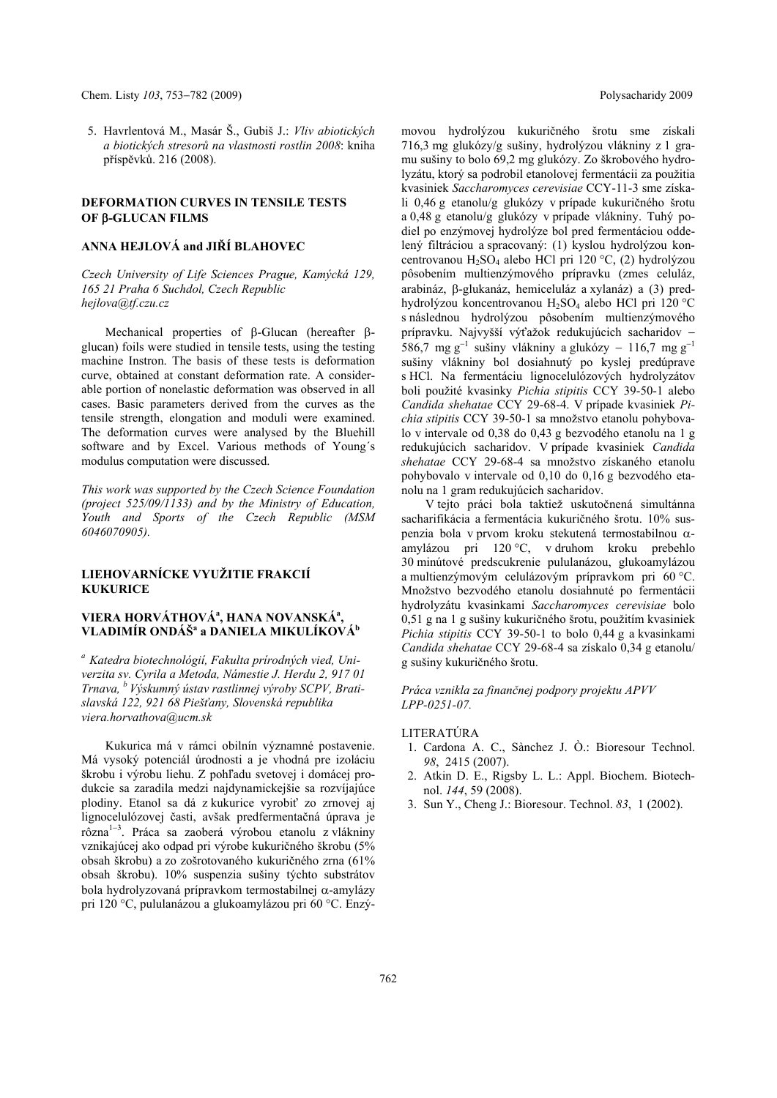5. Havrlentová M., Masár Š., Gubiš J.: *Vliv abiotických a biotických stresorů na vlastnosti rostlin 2008*: kniha příspěvků. 216 (2008).

### **DEFORMATION CURVES IN TENSILE TESTS OF β-GLUCAN FILMS**

### **ANNA HEJLOVÁ and JIŘÍ BLAHOVEC**

*Czech University of Life Sciences Prague, Kamýcká 129, 165 21 Praha 6 Suchdol, Czech Republic hejlova@tf.czu.cz* 

Mechanical properties of  $\beta$ -Glucan (hereafter  $\beta$ glucan) foils were studied in tensile tests, using the testing machine Instron. The basis of these tests is deformation curve, obtained at constant deformation rate. A considerable portion of nonelastic deformation was observed in all cases. Basic parameters derived from the curves as the tensile strength, elongation and moduli were examined. The deformation curves were analysed by the Bluehill software and by Excel. Various methods of Young´s modulus computation were discussed.

*This work was supported by the Czech Science Foundation (project 525/09/1133) and by the Ministry of Education, Youth and Sports of the Czech Republic (MSM 6046070905).* 

# **LIEHOVARNÍCKE VYUŽITIE FRAKCIÍ KUKURICE**

# **VIERA HORVÁTHOVÁ<sup>a</sup> , HANA NOVANSKÁa , VLADIMÍR ONDÁŠa a DANIELA MIKULÍKOVÁb**

*a Katedra biotechnológií, Fakulta prírodných vied, Univerzita sv. Cyrila a Metoda, Námestie J. Herdu 2, 917 01 Trnava, b Výskumný ústav rastlinnej výroby SCPV, Bratislavská 122, 921 68 Piešťany, Slovenská republika viera.horvathova@ucm.sk*

Kukurica má v rámci obilnín významné postavenie. Má vysoký potenciál úrodnosti a je vhodná pre izoláciu škrobu i výrobu liehu. Z pohľadu svetovej i domácej produkcie sa zaradila medzi najdynamickejšie sa rozvíjajúce plodiny. Etanol sa dá z kukurice vyrobiť zo zrnovej aj lignocelulózovej časti, avšak predfermentačná úprava je rôzna<sup>1-3</sup>. Práca sa zaoberá výrobou etanolu z vlákniny vznikajúcej ako odpad pri výrobe kukuričného škrobu (5% obsah škrobu) a zo zošrotovaného kukuričného zrna (61% obsah škrobu). 10% suspenzia sušiny týchto substrátov bola hydrolyzovaná prípravkom termostabilnej  $\alpha$ -amylázy pri 120 °C, pululanázou a glukoamylázou pri 60 °C. Enzýmovou hydrolýzou kukuričného šrotu sme získali 716,3 mg glukózy/g sušiny, hydrolýzou vlákniny z 1 gramu sušiny to bolo 69,2 mg glukózy. Zo škrobového hydrolyzátu, ktorý sa podrobil etanolovej fermentácii za použitia kvasiniek *Saccharomyces cerevisiae* CCY-11-3 sme získali 0,46 g etanolu/g glukózy v prípade kukuričného šrotu a 0,48 g etanolu/g glukózy v prípade vlákniny. Tuhý podiel po enzýmovej hydrolýze bol pred fermentáciou oddelený filtráciou a spracovaný: (1) kyslou hydrolýzou koncentrovanou H<sub>2</sub>SO<sub>4</sub> alebo HCl pri 120 °C, (2) hydrolýzou pôsobením multienzýmového prípravku (zmes celuláz, arabináz,  $\beta$ -glukanáz, hemiceluláz a xylanáz) a (3) predhydrolýzou koncentrovanou H2SO4 alebo HCl pri 120 °C s následnou hydrolýzou pôsobením multienzýmového prípravku. Najvyšší výťažok redukujúcich sacharidov 586,7 mg g<sup>-1</sup> sušiny vlákniny a glukózy – 116,7 mg g<sup>-1</sup> sušiny vlákniny bol dosiahnutý po kyslej predúprave s HCl. Na fermentáciu lignocelulózových hydrolyzátov boli použité kvasinky *Pichia stipitis* CCY 39-50-1 alebo *Candida shehatae* CCY 29-68-4. V prípade kvasiniek *Pichia stipitis* CCY 39-50-1 sa množstvo etanolu pohybovalo v intervale od 0,38 do 0,43 g bezvodého etanolu na 1 g redukujúcich sacharidov. V prípade kvasiniek *Candida shehatae* CCY 29-68-4 sa množstvo získaného etanolu pohybovalo v intervale od 0,10 do 0,16 g bezvodého etanolu na 1 gram redukujúcich sacharidov.

V tejto práci bola taktiež uskutočnená simultánna sacharifikácia a fermentácia kukuričného šrotu. 10% suspenzia bola v prvom kroku stekutená termostabilnou  $\alpha$ amylázou pri 120 °C, v druhom kroku prebehlo 30 minútové predscukrenie pululanázou, glukoamylázou a multienzýmovým celulázovým prípravkom pri 60 °C. Množstvo bezvodého etanolu dosiahnuté po fermentácii hydrolyzátu kvasinkami *Saccharomyces cerevisiae* bolo 0,51 g na 1 g sušiny kukuričného šrotu, použitím kvasiniek *Pichia stipitis* CCY 39-50-1 to bolo 0,44 g a kvasinkami *Candida shehatae* CCY 29-68-4 sa získalo 0,34 g etanolu/ g sušiny kukuričného šrotu.

*Práca vznikla za finančnej podpory projektu APVV LPP-0251-07.* 

# LITERATÚRA

- 1. Cardona A. C., Sànchez J. Ò.: Bioresour Technol. *98*, 2415 (2007).
- 2. Atkin D. E., Rigsby L. L.: Appl. Biochem. Biotechnol. *144*, 59 (2008).
- 3. Sun Y., Cheng J.: Bioresour. Technol. *83*, 1 (2002).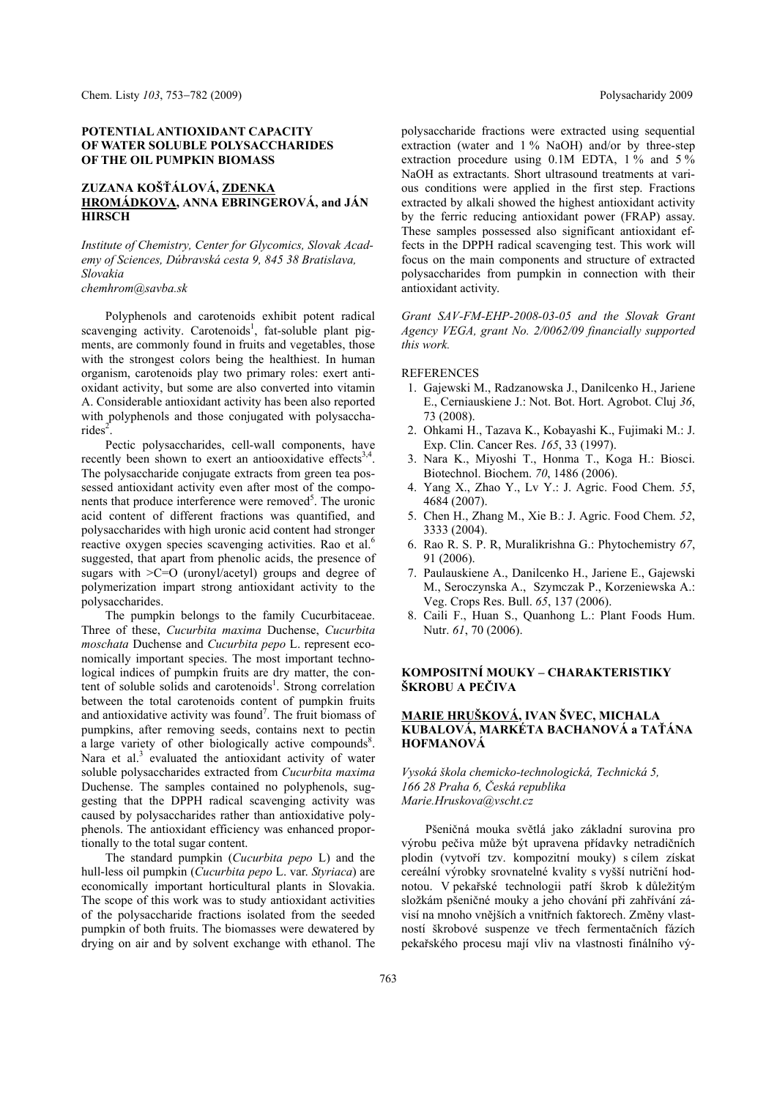### **POTENTIAL ANTIOXIDANT CAPACITY OF WATER SOLUBLE POLYSACCHARIDES OF THE OIL PUMPKIN BIOMASS**

### **ZUZANA KOŠŤÁLOVÁ, ZDENKA HROMÁDKOVA, ANNA EBRINGEROVÁ, and JÁN HIRSCH**

*Institute of Chemistry, Center for Glycomics, Slovak Academy of Sciences, Dúbravská cesta 9, 845 38 Bratislava, Slovakia* 

*chemhrom@savba.sk* 

Polyphenols and carotenoids exhibit potent radical scavenging activity. Carotenoids<sup>1</sup>, fat-soluble plant pigments, are commonly found in fruits and vegetables, those with the strongest colors being the healthiest. In human organism, carotenoids play two primary roles: exert antioxidant activity, but some are also converted into vitamin A. Considerable antioxidant activity has been also reported with polyphenols and those conjugated with polysaccha $rides^2$ .

Pectic polysaccharides, cell-wall components, have recently been shown to exert an antiooxidative effects<sup>3,4</sup>. The polysaccharide conjugate extracts from green tea possessed antioxidant activity even after most of the components that produce interference were removed<sup>5</sup>. The uronic acid content of different fractions was quantified, and polysaccharides with high uronic acid content had stronger reactive oxygen species scavenging activities. Rao et al.<sup>6</sup> suggested, that apart from phenolic acids, the presence of sugars with >C=O (uronyl/acetyl) groups and degree of polymerization impart strong antioxidant activity to the polysaccharides.

The pumpkin belongs to the family Cucurbitaceae. Three of these, *Cucurbita maxima* Duchense, *Cucurbita moschata* Duchense and *Cucurbita pepo* L. represent economically important species. The most important technological indices of pumpkin fruits are dry matter, the content of soluble solids and carotenoids<sup>1</sup>. Strong correlation between the total carotenoids content of pumpkin fruits and antioxidative activity was found<sup>7</sup>. The fruit biomass of pumpkins, after removing seeds, contains next to pectin a large variety of other biologically active compounds<sup>8</sup>. Nara et al.<sup>3</sup> evaluated the antioxidant activity of water soluble polysaccharides extracted from *Cucurbita maxima*  Duchense. The samples contained no polyphenols, suggesting that the DPPH radical scavenging activity was caused by polysaccharides rather than antioxidative polyphenols. The antioxidant efficiency was enhanced proportionally to the total sugar content.

The standard pumpkin (*Cucurbita pepo* L) and the hull-less oil pumpkin (*Cucurbita pepo* L. var. *Styriaca*) are economically important horticultural plants in Slovakia. The scope of this work was to study antioxidant activities of the polysaccharide fractions isolated from the seeded pumpkin of both fruits. The biomasses were dewatered by drying on air and by solvent exchange with ethanol. The

polysaccharide fractions were extracted using sequential extraction (water and 1 % NaOH) and/or by three-step extraction procedure using 0.1M EDTA, 1 % and 5 % NaOH as extractants. Short ultrasound treatments at various conditions were applied in the first step. Fractions extracted by alkali showed the highest antioxidant activity by the ferric reducing antioxidant power (FRAP) assay. These samples possessed also significant antioxidant effects in the DPPH radical scavenging test. This work will focus on the main components and structure of extracted polysaccharides from pumpkin in connection with their antioxidant activity.

*Grant SAV-FM-EHP-2008-03-05 and the Slovak Grant Agency VEGA, grant No. 2/0062/09 financially supported this work.* 

#### **REFERENCES**

- 1. Gajewski M., Radzanowska J., Danilcenko H., Jariene E., Cerniauskiene J.: Not. Bot. Hort. Agrobot. Cluj *36*, 73 (2008).
- 2. Ohkami H., Tazava K., Kobayashi K., Fujimaki M.: J. Exp. Clin. Cancer Res. *165*, 33 (1997).
- 3. Nara K., Miyoshi T., Honma T., Koga H.: Biosci. Biotechnol. Biochem. *70*, 1486 (2006).
- 4. Yang X., Zhao Y., Lv Y.: J. Agric. Food Chem. *55*, 4684 (2007).
- 5. Chen H., Zhang M., Xie B.: J. Agric. Food Chem. *52*, 3333 (2004).
- 6. Rao R. S. P. R, Muralikrishna G.: Phytochemistry *67*, 91 (2006).
- 7. Paulauskiene A., Danilcenko H., Jariene E., Gajewski M., Seroczynska A., Szymczak P., Korzeniewska A.: Veg. Crops Res. Bull. *65*, 137 (2006).
- 8. Caili F., Huan S., Quanhong L.: Plant Foods Hum. Nutr. *61*, 70 (2006).

### **KOMPOSITNÍ MOUKY – CHARAKTERISTIKY ŠKROBU A PEČIVA**

### **MARIE HRUŠKOVÁ, IVAN ŠVEC, MICHALA KUBALOVÁ, MARKÉTA BACHANOVÁ a TAŤÁNA HOFMANOVÁ**

*Vysoká škola chemicko-technologická, Technická 5, 166 28 Praha 6, Česká republika Marie.Hruskova@vscht.cz* 

Pšeničná mouka světlá jako základní surovina pro výrobu pečiva může být upravena přídavky netradičních plodin (vytvoří tzv. kompozitní mouky) s cílem získat cereální výrobky srovnatelné kvality s vyšší nutriční hodnotou. V pekařské technologii patří škrob k důležitým složkám pšeničné mouky a jeho chování při zahřívání závisí na mnoho vnějších a vnitřních faktorech. Změny vlastností škrobové suspenze ve třech fermentačních fázích pekařského procesu mají vliv na vlastnosti finálního vý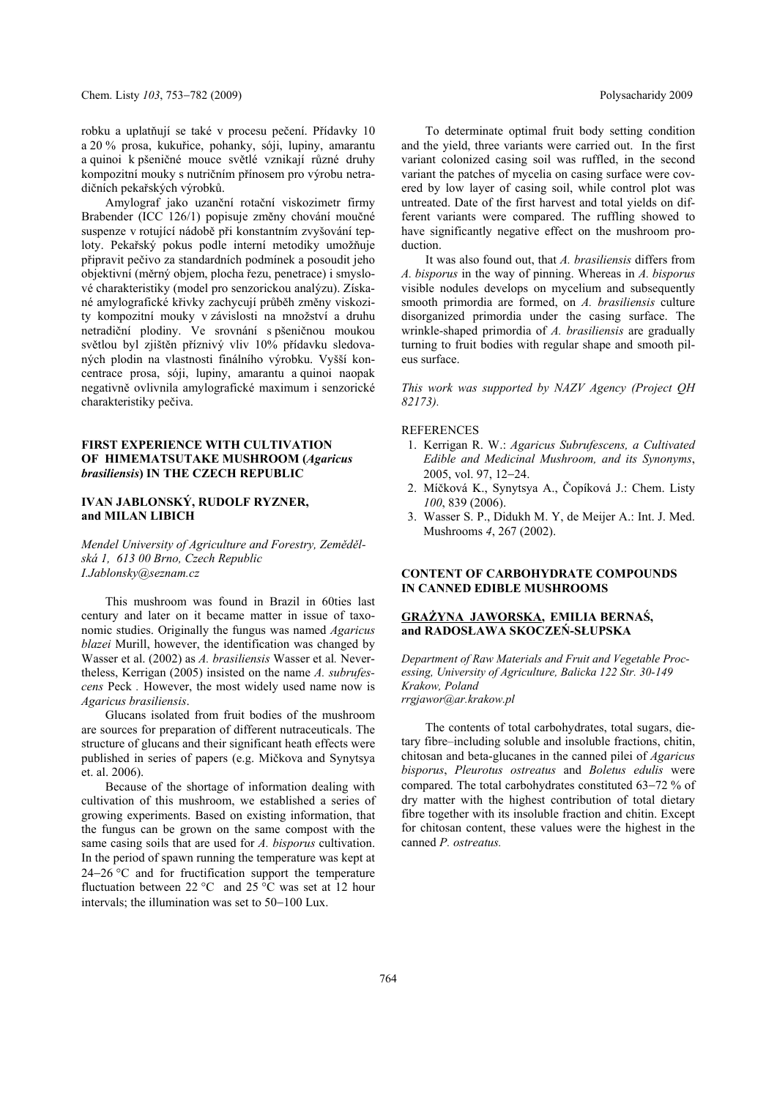robku a uplatňují se také v procesu pečení. Přídavky 10 a 20 % prosa, kukuřice, pohanky, sóji, lupiny, amarantu a quinoi k pšeničné mouce světlé vznikají různé druhy kompozitní mouky s nutričním přínosem pro výrobu netradičních pekařských výrobků.

Amylograf jako uzanční rotační viskozimetr firmy Brabender (ICC 126/1) popisuje změny chování moučné suspenze v rotující nádobě při konstantním zvyšování teploty. Pekařský pokus podle interní metodiky umožňuje připravit pečivo za standardních podmínek a posoudit jeho objektivní (měrný objem, plocha řezu, penetrace) i smyslové charakteristiky (model pro senzorickou analýzu). Získané amylografické křivky zachycují průběh změny viskozity kompozitní mouky v závislosti na množství a druhu netradiční plodiny. Ve srovnání s pšeničnou moukou světlou byl zjištěn příznivý vliv 10% přídavku sledovaných plodin na vlastnosti finálního výrobku. Vyšší koncentrace prosa, sóji, lupiny, amarantu a quinoi naopak negativně ovlivnila amylografické maximum i senzorické charakteristiky pečiva.

### **FIRST EXPERIENCE WITH CULTIVATION OF HIMEMATSUTAKE MUSHROOM (***Agaricus brasiliensis***) IN THE CZECH REPUBLIC**

# **IVAN JABLONSKÝ, RUDOLF RYZNER, and MILAN LIBICH**

*Mendel University of Agriculture and Forestry, Zemědělská 1, 613 00 Brno, Czech Republic I.Jablonsky@seznam.cz* 

This mushroom was found in Brazil in 60ties last century and later on it became matter in issue of taxonomic studies. Originally the fungus was named *Agaricus blazei* Murill, however, the identification was changed by Wasser et al. (2002) as *A. brasiliensis* Wasser et al*.* Nevertheless, Kerrigan (2005) insisted on the name *A. subrufescens* Peck *.* However, the most widely used name now is *Agaricus brasiliensis*.

Glucans isolated from fruit bodies of the mushroom are sources for preparation of different nutraceuticals. The structure of glucans and their significant heath effects were published in series of papers (e.g. Mičkova and Synytsya et. al. 2006).

Because of the shortage of information dealing with cultivation of this mushroom, we established a series of growing experiments. Based on existing information, that the fungus can be grown on the same compost with the same casing soils that are used for *A. bisporus* cultivation. In the period of spawn running the temperature was kept at  $24-26$  °C and for fructification support the temperature fluctuation between  $22^{\circ}$ C and  $25^{\circ}$ C was set at 12 hour intervals; the illumination was set to  $50-100$  Lux.

To determinate optimal fruit body setting condition and the yield, three variants were carried out. In the first variant colonized casing soil was ruffled, in the second variant the patches of mycelia on casing surface were covered by low layer of casing soil, while control plot was untreated. Date of the first harvest and total yields on different variants were compared. The ruffling showed to have significantly negative effect on the mushroom production.

It was also found out, that *A. brasiliensis* differs from *A. bisporus* in the way of pinning. Whereas in *A. bisporus* visible nodules develops on mycelium and subsequently smooth primordia are formed, on *A. brasiliensis* culture disorganized primordia under the casing surface. The wrinkle-shaped primordia of *A. brasiliensis* are gradually turning to fruit bodies with regular shape and smooth pileus surface.

*This work was supported by NAZV Agency (Project QH 82173).* 

#### **REFERENCES**

- 1. Kerrigan R. W.: *Agaricus Subrufescens, a Cultivated Edible and Medicinal Mushroom, and its Synonyms*, 2005, vol. 97, 12-24.
- 2. Míčková K., Synytsya A., Čopíková J.: Chem. Listy *100*, 839 (2006).
- 3. Wasser S. P., Didukh M. Y, de Meijer A.: Int. J. Med. Mushrooms *4*, 267 (2002).

### **CONTENT OF CARBOHYDRATE COMPOUNDS IN CANNED EDIBLE MUSHROOMS**

### **GRAŻYNA JAWORSKA, EMILIA BERNAŚ, and RADOSŁAWA SKOCZEŃ-SŁUPSKA**

*Department of Raw Materials and Fruit and Vegetable Processing, University of Agriculture, Balicka 122 Str. 30-149 Krakow, Poland rrgjawor@ar.krakow.pl* 

The contents of total carbohydrates, total sugars, dietary fibre–including soluble and insoluble fractions, chitin, chitosan and beta-glucanes in the canned pilei of *Agaricus bisporus*, *Pleurotus ostreatus* and *Boletus edulis* were compared. The total carbohydrates constituted 63-72 % of dry matter with the highest contribution of total dietary fibre together with its insoluble fraction and chitin. Except for chitosan content, these values were the highest in the canned *P. ostreatus.*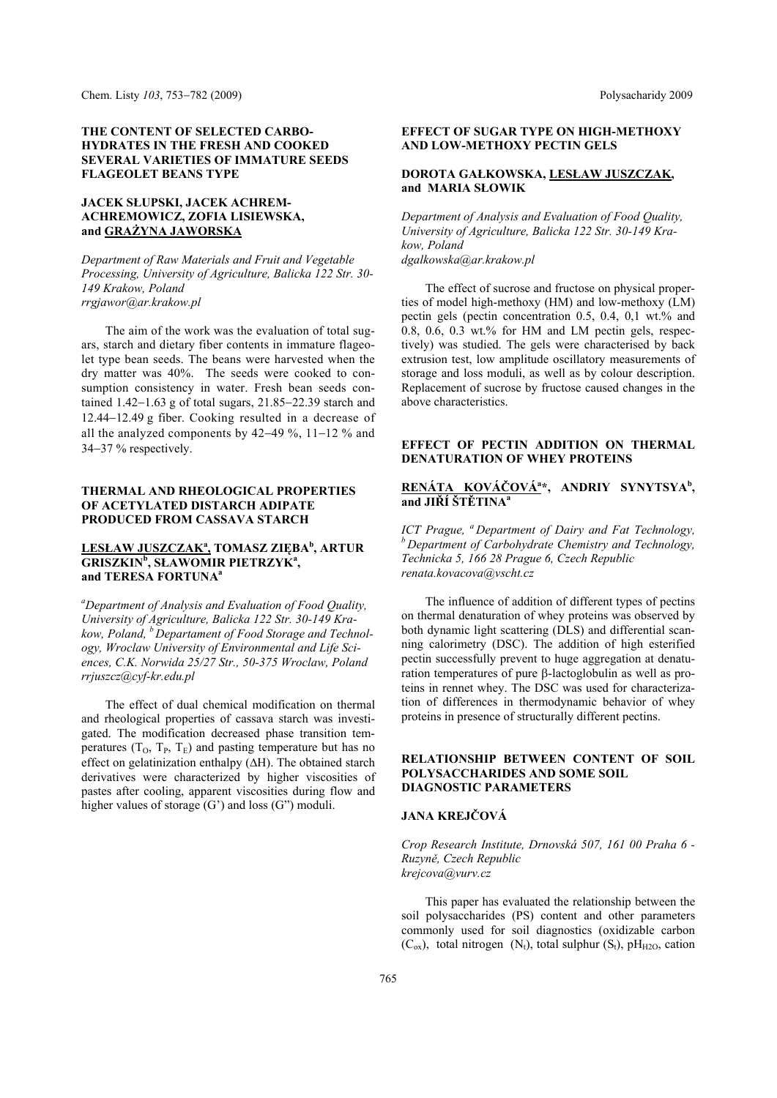#### **THE CONTENT OF SELECTED CARBO-HYDRATES IN THE FRESH AND COOKED SEVERAL VARIETIES OF IMMATURE SEEDS FLAGEOLET BEANS TYPE**

# **JACEK SŁUPSKI, JACEK ACHREM-ACHREMOWICZ, ZOFIA LISIEWSKA, and GRAŻYNA JAWORSKA**

*Department of Raw Materials and Fruit and Vegetable Processing, University of Agriculture, Balicka 122 Str. 30- 149 Krakow, Poland rrgjawor@ar.krakow.pl* 

The aim of the work was the evaluation of total sugars, starch and dietary fiber contents in immature flageolet type bean seeds. The beans were harvested when the dry matter was 40%. The seeds were cooked to consumption consistency in water. Fresh bean seeds contained  $1.42-1.63$  g of total sugars,  $21.85-22.39$  starch and 12.44-12.49 g fiber. Cooking resulted in a decrease of all the analyzed components by  $42-49\%$ ,  $11-12\%$  and 34–37 % respectively.

### **THERMAL AND RHEOLOGICAL PROPERTIES OF ACETYLATED DISTARCH ADIPATE PRODUCED FROM CASSAVA STARCH**

### **LESŁAW JUSZCZAK<sup>a</sup> , TOMASZ ZIĘBA<sup>b</sup> , ARTUR GRISZKIN<sup>b</sup> , SŁAWOMIR PIETRZYKa , and TERESA FORTUNAa**

*a Department of Analysis and Evaluation of Food Quality, University of Agriculture, Balicka 122 Str. 30-149 Krakow, Poland, b Departament of Food Storage and Technology, Wroclaw University of Environmental and Life Sciences, C.K. Norwida 25/27 Str., 50-375 Wroclaw, Poland rrjuszcz@cyf-kr.edu.pl* 

The effect of dual chemical modification on thermal and rheological properties of cassava starch was investigated. The modification decreased phase transition temperatures  $(T_0, T_P, T_E)$  and pasting temperature but has no effect on gelatinization enthalpy  $( \Delta H)$ . The obtained starch derivatives were characterized by higher viscosities of pastes after cooling, apparent viscosities during flow and higher values of storage (G') and loss (G'') moduli.

### **EFFECT OF SUGAR TYPE ON HIGH-METHOXY AND LOW-METHOXY PECTIN GELS**

### **DOROTA GAŁKOWSKA, LESŁAW JUSZCZAK, and MARIA SŁOWIK**

*Department of Analysis and Evaluation of Food Quality, University of Agriculture, Balicka 122 Str. 30-149 Krakow, Poland dgalkowska@ar.krakow.pl* 

The effect of sucrose and fructose on physical properties of model high-methoxy (HM) and low-methoxy (LM) pectin gels (pectin concentration 0.5, 0.4, 0,1 wt.% and  $0.8, 0.6, 0.3$  wt.% for HM and LM pectin gels, respectively) was studied. The gels were characterised by back extrusion test, low amplitude oscillatory measurements of storage and loss moduli, as well as by colour description. Replacement of sucrose by fructose caused changes in the above characteristics.

## **EFFECT OF PECTIN ADDITION ON THERMAL DENATURATION OF WHEY PROTEINS**

## **RENÁTA KOVÁČOVÁa \*, ANDRIY SYNYTSYA<sup>b</sup> , and JIŘÍ ŠTĚTINAa**

*ICT Prague, <sup><i>a*</sup> Department of Dairy and Fat Technology, *b* Department of Carbohydrate Chemistry and Technology, *Technicka 5, 166 28 Prague 6, Czech Republic renata.kovacova@vscht.cz* 

The influence of addition of different types of pectins on thermal denaturation of whey proteins was observed by both dynamic light scattering (DLS) and differential scanning calorimetry (DSC). The addition of high esterified pectin successfully prevent to huge aggregation at denaturation temperatures of pure  $\beta$ -lactoglobulin as well as proteins in rennet whey. The DSC was used for characterization of differences in thermodynamic behavior of whey proteins in presence of structurally different pectins.

### **RELATIONSHIP BETWEEN CONTENT OF SOIL POLYSACCHARIDES AND SOME SOIL DIAGNOSTIC PARAMETERS**

## **JANA KREJČOVÁ**

*Crop Research Institute, Drnovská 507, 161 00 Praha 6 - Ruzyně, Czech Republic krejcova@vurv.cz* 

This paper has evaluated the relationship between the soil polysaccharides (PS) content and other parameters commonly used for soil diagnostics (oxidizable carbon  $(C_{ox})$ , total nitrogen  $(N_t)$ , total sulphur  $(S_t)$ , pH<sub>H2O</sub>, cation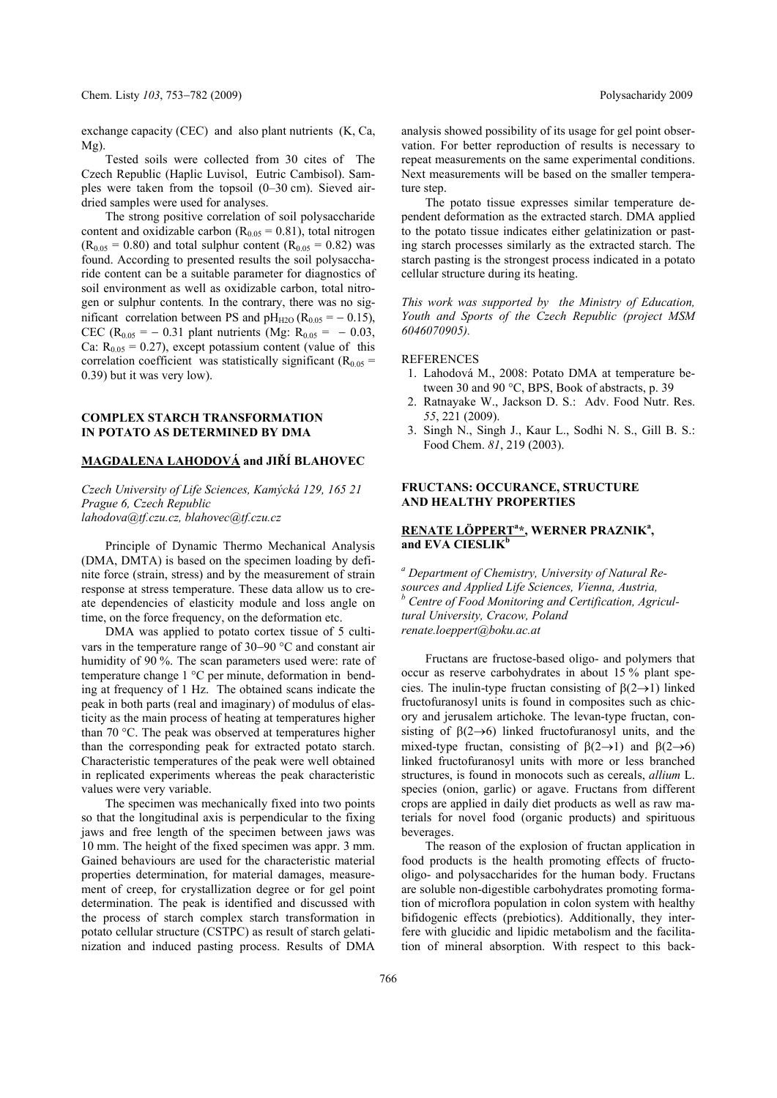exchange capacity (CEC) and also plant nutrients (K, Ca, Mg).

Tested soils were collected from 30 cites of The Czech Republic (Haplic Luvisol, Eutric Cambisol). Samples were taken from the topsoil (0–30 cm). Sieved airdried samples were used for analyses.

The strong positive correlation of soil polysaccharide content and oxidizable carbon ( $R_{0.05} = 0.81$ ), total nitrogen  $(R_{0.05} = 0.80)$  and total sulphur content  $(R_{0.05} = 0.82)$  was found. According to presented results the soil polysaccharide content can be a suitable parameter for diagnostics of soil environment as well as oxidizable carbon, total nitrogen or sulphur contents*.* In the contrary, there was no significant correlation between PS and  $pH_{H2O}$  (R<sub>0.05</sub> = - 0.15), CEC ( $R_{0.05} = -0.31$  plant nutrients (Mg:  $R_{0.05} = -0.03$ , Ca:  $R_{0.05} = 0.27$ ), except potassium content (value of this correlation coefficient was statistically significant ( $R_{0.05}$  = 0.39) but it was very low).

### **COMPLEX STARCH TRANSFORMATION IN POTATO AS DETERMINED BY DMA**

### **MAGDALENA LAHODOVÁ and JIŘÍ BLAHOVEC**

*Czech University of Life Sciences, Kamýcká 129, 165 21 Prague 6, Czech Republic lahodova@tf.czu.cz, blahovec@tf.czu.cz* 

Principle of Dynamic Thermo Mechanical Analysis (DMA, DMTA) is based on the specimen loading by definite force (strain, stress) and by the measurement of strain response at stress temperature. These data allow us to create dependencies of elasticity module and loss angle on time, on the force frequency, on the deformation etc.

DMA was applied to potato cortex tissue of 5 cultivars in the temperature range of  $30-90$  °C and constant air humidity of 90 %. The scan parameters used were: rate of temperature change 1 °C per minute, deformation in bending at frequency of 1 Hz. The obtained scans indicate the peak in both parts (real and imaginary) of modulus of elasticity as the main process of heating at temperatures higher than 70 °C. The peak was observed at temperatures higher than the corresponding peak for extracted potato starch. Characteristic temperatures of the peak were well obtained in replicated experiments whereas the peak characteristic values were very variable.

The specimen was mechanically fixed into two points so that the longitudinal axis is perpendicular to the fixing jaws and free length of the specimen between jaws was 10 mm. The height of the fixed specimen was appr. 3 mm. Gained behaviours are used for the characteristic material properties determination, for material damages, measurement of creep, for crystallization degree or for gel point determination. The peak is identified and discussed with the process of starch complex starch transformation in potato cellular structure (CSTPC) as result of starch gelatinization and induced pasting process. Results of DMA analysis showed possibility of its usage for gel point observation. For better reproduction of results is necessary to repeat measurements on the same experimental conditions. Next measurements will be based on the smaller temperature step.

The potato tissue expresses similar temperature dependent deformation as the extracted starch. DMA applied to the potato tissue indicates either gelatinization or pasting starch processes similarly as the extracted starch. The starch pasting is the strongest process indicated in a potato cellular structure during its heating.

*This work was supported by the Ministry of Education, Youth and Sports of the Czech Republic (project MSM 6046070905).* 

#### REFERENCES

- 1. Lahodová M., 2008: Potato DMA at temperature between 30 and 90 °C, BPS, Book of abstracts, p. 39
- 2. Ratnayake W., Jackson D. S.: Adv. Food Nutr. Res. *55*, 221 (2009).
- 3. Singh N., Singh J., Kaur L., Sodhi N. S., Gill B. S.: Food Chem. *81*, 219 (2003).

#### **FRUCTANS: OCCURANCE, STRUCTURE AND HEALTHY PROPERTIES**

## **RENATE LÖPPERT<sup>a</sup>\*, WERNER PRAZNIK<sup>a</sup>, and EVA CIESLIK<sup>b</sup>**

*a Department of Chemistry, University of Natural Resources and Applied Life Sciences, Vienna, Austria,*  <sup>*b*</sup> Centre of Food Monitoring and Certification, Agricul*tural University, Cracow, Poland renate.loeppert@boku.ac.at* 

Fructans are fructose-based oligo- and polymers that occur as reserve carbohydrates in about 15 % plant species. The inulin-type fructan consisting of  $\beta(2\rightarrow 1)$  linked fructofuranosyl units is found in composites such as chicory and jerusalem artichoke. The levan-type fructan, consisting of  $\beta(2\rightarrow 6)$  linked fructofuranosyl units, and the mixed-type fructan, consisting of  $\beta(2\rightarrow 1)$  and  $\beta(2\rightarrow 6)$ linked fructofuranosyl units with more or less branched structures, is found in monocots such as cereals, *allium* L. species (onion, garlic) or agave. Fructans from different crops are applied in daily diet products as well as raw materials for novel food (organic products) and spirituous beverages.

The reason of the explosion of fructan application in food products is the health promoting effects of fructooligo- and polysaccharides for the human body. Fructans are soluble non-digestible carbohydrates promoting formation of microflora population in colon system with healthy bifidogenic effects (prebiotics). Additionally, they interfere with glucidic and lipidic metabolism and the facilitation of mineral absorption. With respect to this back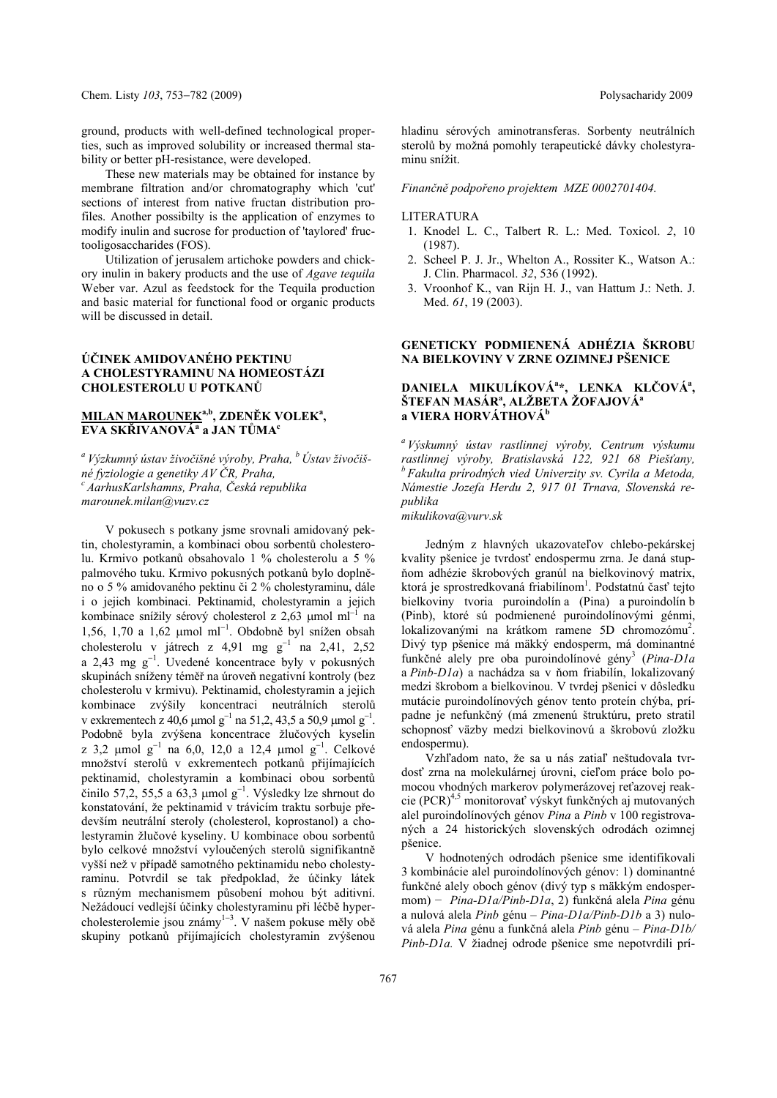ground, products with well-defined technological properties, such as improved solubility or increased thermal sta-

bility or better pH-resistance, were developed. These new materials may be obtained for instance by membrane filtration and/or chromatography which 'cut' sections of interest from native fructan distribution profiles. Another possibilty is the application of enzymes to modify inulin and sucrose for production of 'taylored' fructooligosaccharides (FOS).

Utilization of jerusalem artichoke powders and chickory inulin in bakery products and the use of *Agave tequila*  Weber var. Azul as feedstock for the Tequila production and basic material for functional food or organic products will be discussed in detail.

### **ÚČINEK AMIDOVANÉHO PEKTINU A CHOLESTYRAMINU NA HOMEOSTÁZI CHOLESTEROLU U POTKANŮ**

## **MILAN MAROUNEKa,b, ZDENĚK VOLEKa , EVA SKŘIVANOVÁ<sup>a</sup> a JAN TŮMAc**

*a Výzkumný ústav živočišné výroby, Praha, b Ústav živočišné fyziologie a genetiky AV ČR, Praha, c AarhusKarlshamns, Praha, Česká republika marounek.milan@vuzv.cz* 

V pokusech s potkany jsme srovnali amidovaný pektin, cholestyramin, a kombinaci obou sorbentů cholesterolu. Krmivo potkanů obsahovalo 1 % cholesterolu a 5 % palmového tuku. Krmivo pokusných potkanů bylo doplněno o 5 % amidovaného pektinu či 2 % cholestyraminu, dále i o jejich kombinaci. Pektinamid, cholestyramin a jejich kombinace snížily sérový cholesterol z 2,63 µmol ml<sup>-1</sup> na  $1,56, 1,70$  a  $1,62 \mu$ mol ml<sup>-1</sup>. Obdobně byl snížen obsah cholesterolu v játrech z 4,91 mg  $g^{-1}$  na 2,41, 2,52 a 2,43 mg  $g^{-1}$ . Uvedené koncentrace byly v pokusných skupinách sníženy téměř na úroveň negativní kontroly (bez cholesterolu v krmivu). Pektinamid, cholestyramin a jejich kombinace zvýšily koncentraci neutrálních sterolů v exkrementech z 40,6 µmol g<sup>-1</sup> na 51,2, 43,5 a 50,9 µmol g<sup>-1</sup>. Podobně byla zvýšena koncentrace žlučových kyselin z 3,2 µmol g<sup>-1</sup> na 6,0, 12,0 a 12,4 µmol g<sup>-1</sup>. Celkové množství sterolů v exkrementech potkanů přijímajících pektinamid, cholestyramin a kombinaci obou sorbentů  $\check{c}$ inilo 57,2, 55,5 a 63,3 µmol g<sup>-1</sup>. Výsledky lze shrnout do konstatování, že pektinamid v trávicím traktu sorbuje především neutrální steroly (cholesterol, koprostanol) a cholestyramin žlučové kyseliny. U kombinace obou sorbentů bylo celkové množství vyloučených sterolů signifikantně vyšší než v případě samotného pektinamidu nebo cholestyraminu. Potvrdil se tak předpoklad, že účinky látek s různým mechanismem působení mohou být aditivní. Nežádoucí vedlejší účinky cholestyraminu při léčbě hypercholesterolemie jsou známy $1-3$ . V našem pokuse měly obě skupiny potkanů přijímajících cholestyramin zvýšenou

hladinu sérových aminotransferas. Sorbenty neutrálních sterolů by možná pomohly terapeutické dávky cholestyraminu snížit.

*Finančně podpořeno projektem MZE 0002701404.* 

#### LITERATURA

- 1. Knodel L. C., Talbert R. L.: Med. Toxicol. *2*, 10 (1987).
- 2. Scheel P. J. Jr., Whelton A., Rossiter K., Watson A.: J. Clin. Pharmacol. *32*, 536 (1992).
- 3. Vroonhof K., van Rijn H. J., van Hattum J.: Neth. J. Med. *61*, 19 (2003).

### **GENETICKY PODMIENENÁ ADHÉZIA ŠKROBU NA BIELKOVINY V ZRNE OZIMNEJ PŠENICE**

### **DANIELA MIKULÍKOVÁ<sup>a</sup> \*, LENKA KLČOVÁa , ŠTEFAN MASÁR<sup>a</sup> , ALŽBETA ŽOFAJOVÁa a VIERA HORVÁTHOVÁb**

*a Výskumný ústav rastlinnej výroby, Centrum výskumu rastlinnej výroby, Bratislavská 122, 921 68 Piešťany, b Fakulta prírodných vied Univerzity sv. Cyrila a Metoda, Námestie Jozefa Herdu 2, 917 01 Trnava, Slovenská republika* 

*mikulikova@vurv.sk* 

Jedným z hlavných ukazovateľov chlebo-pekárskej kvality pšenice je tvrdosť endospermu zrna. Je daná stupňom adhézie škrobových granúl na bielkovinový matrix, ktorá je sprostredkovaná friabilínom<sup>1</sup>. Podstatnú časť tejto bielkoviny tvoria puroindolín a (Pina) a puroindolín b (Pinb), ktoré sú podmienené puroindolínovými génmi, lokalizovanými na krátkom ramene 5D chromozómu<sup>2</sup>. Divý typ pšenice má mäkký endosperm, má dominantné funkčné alely pre oba puroindolínové gény<sup>3</sup> (Pina-D1a a *Pinb-D1a*) a nachádza sa v ňom friabilín, lokalizovaný medzi škrobom a bielkovinou. V tvrdej pšenici v dôsledku mutácie puroindolínových génov tento proteín chýba, prípadne je nefunkčný (má zmenenú štruktúru, preto stratil schopnosť väzby medzi bielkovinovú a škrobovú zložku endospermu).

Vzhľadom nato, že sa u nás zatiaľ neštudovala tvrdosť zrna na molekulárnej úrovni, cieľom práce bolo pomocou vhodných markerov polymerázovej reťazovej reakcie (PCR)<sup>4,5</sup> monitorovať výskyt funkčných aj mutovaných alel puroindolínových génov *Pina* a *Pinb* v 100 registrovaných a 24 historických slovenských odrodách ozimnej pšenice.

V hodnotených odrodách pšenice sme identifikovali 3 kombinácie alel puroindolínových génov: 1) dominantné funkčné alely oboch génov (divý typ s mäkkým endospermom) − *Pina-D1a/Pinb-D1a*, 2) funkčná alela *Pina* génu a nulová alela *Pinb* génu – *Pina-D1a/Pinb-D1b* a 3) nulová alela *Pina* génu a funkčná alela *Pinb* génu – *Pina-D1b/ Pinb-D1a.* V žiadnej odrode pšenice sme nepotvrdili prí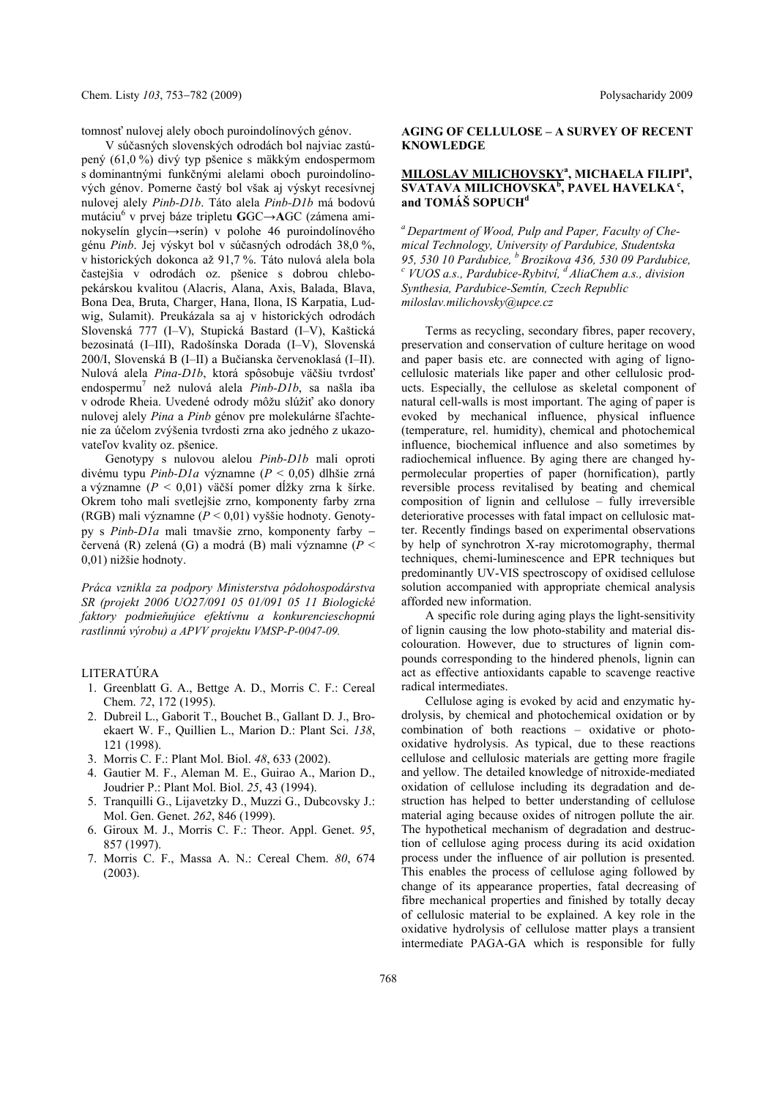tomnosť nulovej alely oboch puroindolínových génov.

V súčasných slovenských odrodách bol najviac zastúpený (61,0 %) divý typ pšenice s mäkkým endospermom s dominantnými funkčnými alelami oboch puroindolínových génov. Pomerne častý bol však aj výskyt recesívnej nulovej alely *Pinb-D1b*. Táto alela *Pinb-D1b* má bodovú mutáciu6 v prvej báze tripletu **G**GC→**A**GC (zámena aminokyselín glycín→serín) v polohe 46 puroindolínového génu *Pinb*. Jej výskyt bol v súčasných odrodách 38,0 %, v historických dokonca až 91,7 %. Táto nulová alela bola častejšia v odrodách oz. pšenice s dobrou chlebopekárskou kvalitou (Alacris, Alana, Axis, Balada, Blava, Bona Dea, Bruta, Charger, Hana, Ilona, IS Karpatia, Ludwig, Sulamit). Preukázala sa aj v historických odrodách Slovenská 777 (I–V), Stupická Bastard (I–V), Kaštická bezosinatá (I–III), Radošínska Dorada (I–V), Slovenská 200/I, Slovenská B (I–II) a Bučianska červenoklasá (I–II). Nulová alela *Pina-D1b*, ktorá spôsobuje väčšiu tvrdosť endospermu7 než nulová alela *Pinb-D1b*, sa našla iba v odrode Rheia. Uvedené odrody môžu slúžiť ako donory nulovej alely *Pina* a *Pinb* génov pre molekulárne šľachtenie za účelom zvýšenia tvrdosti zrna ako jedného z ukazovateľov kvality oz. pšenice.

Genotypy s nulovou alelou *Pinb-D1b* mali oproti divému typu *Pinb-D1a* významne (*P* < 0,05) dlhšie zrná a významne (*P* < 0,01) väčší pomer dĺžky zrna k šírke. Okrem toho mali svetlejšie zrno, komponenty farby zrna (RGB) mali významne (*P* < 0,01) vyššie hodnoty. Genotypy s *Pinb-D1a* mali tmavšie zrno, komponenty farby červená (R) zelená (G) a modrá (B) mali významne (*P* < 0,01) nižšie hodnoty.

*Práca vznikla za podpory Ministerstva pôdohospodárstva SR (projekt 2006 UO27/091 05 01/091 05 11 Biologické faktory podmieňujúce efektívnu a konkurencieschopnú rastlinnú výrobu) a APVV projektu VMSP-P-0047-09.* 

#### LITERATÚRA

- 1. Greenblatt G. A., Bettge A. D., Morris C. F.: Cereal Chem. *72*, 172 (1995).
- 2. Dubreil L., Gaborit T., Bouchet B., Gallant D. J., Broekaert W. F., Quillien L., Marion D.: Plant Sci. *138*, 121 (1998).
- 3. Morris C. F.: Plant Mol. Biol. *48*, 633 (2002).
- 4. Gautier M. F., Aleman M. E., Guirao A., Marion D., Joudrier P.: Plant Mol. Biol. *25*, 43 (1994).
- 5. Tranquilli G., Lijavetzky D., Muzzi G., Dubcovsky J.: Mol. Gen. Genet. *262*, 846 (1999).
- 6. Giroux M. J., Morris C. F.: Theor. Appl. Genet. *95*, 857 (1997).
- 7. Morris C. F., Massa A. N.: Cereal Chem. *80*, 674 (2003).

### **AGING OF CELLULOSE – A SURVEY OF RECENT KNOWLEDGE**

### **MILOSLAV MILICHOVSKY<sup>a</sup>, MICHAELA FILIPI<sup>a</sup>,**  $\overline{\textbf{S}}$ **VATAVA MILICHOVSKA<sup>b</sup>, PAVEL HAVELKA**<sup>c</sup>, **and TOMÁŠ SOPUCH<sup>d</sup>**

*a Department of Wood, Pulp and Paper, Faculty of Chemical Technology, University of Pardubice, Studentska 95, 530 10 Pardubice, b Brozikova 436, 530 09 Pardubice, <sup>c</sup> VUOS a.s., Pardubice-Rybitví, d AliaChem a.s., division Synthesia, Pardubice-Semtín, Czech Republic miloslav.milichovsky@upce.cz* 

Terms as recycling, secondary fibres, paper recovery, preservation and conservation of culture heritage on wood and paper basis etc. are connected with aging of lignocellulosic materials like paper and other cellulosic products. Especially, the cellulose as skeletal component of natural cell-walls is most important. The aging of paper is evoked by mechanical influence, physical influence (temperature, rel. humidity), chemical and photochemical influence, biochemical influence and also sometimes by radiochemical influence. By aging there are changed hypermolecular properties of paper (hornification), partly reversible process revitalised by beating and chemical composition of lignin and cellulose – fully irreversible deteriorative processes with fatal impact on cellulosic matter. Recently findings based on experimental observations by help of synchrotron X-ray microtomography, thermal techniques, chemi-luminescence and EPR techniques but predominantly UV-VIS spectroscopy of oxidised cellulose solution accompanied with appropriate chemical analysis afforded new information.

A specific role during aging plays the light-sensitivity of lignin causing the low photo-stability and material discolouration. However, due to structures of lignin compounds corresponding to the hindered phenols, lignin can act as effective antioxidants capable to scavenge reactive radical intermediates.

Cellulose aging is evoked by acid and enzymatic hydrolysis, by chemical and photochemical oxidation or by combination of both reactions – oxidative or photooxidative hydrolysis. As typical, due to these reactions cellulose and cellulosic materials are getting more fragile and yellow. The detailed knowledge of nitroxide-mediated oxidation of cellulose including its degradation and destruction has helped to better understanding of cellulose material aging because oxides of nitrogen pollute the air*.* The hypothetical mechanism of degradation and destruction of cellulose aging process during its acid oxidation process under the influence of air pollution is presented. This enables the process of cellulose aging followed by change of its appearance properties, fatal decreasing of fibre mechanical properties and finished by totally decay of cellulosic material to be explained. A key role in the oxidative hydrolysis of cellulose matter plays a transient intermediate PAGA-GA which is responsible for fully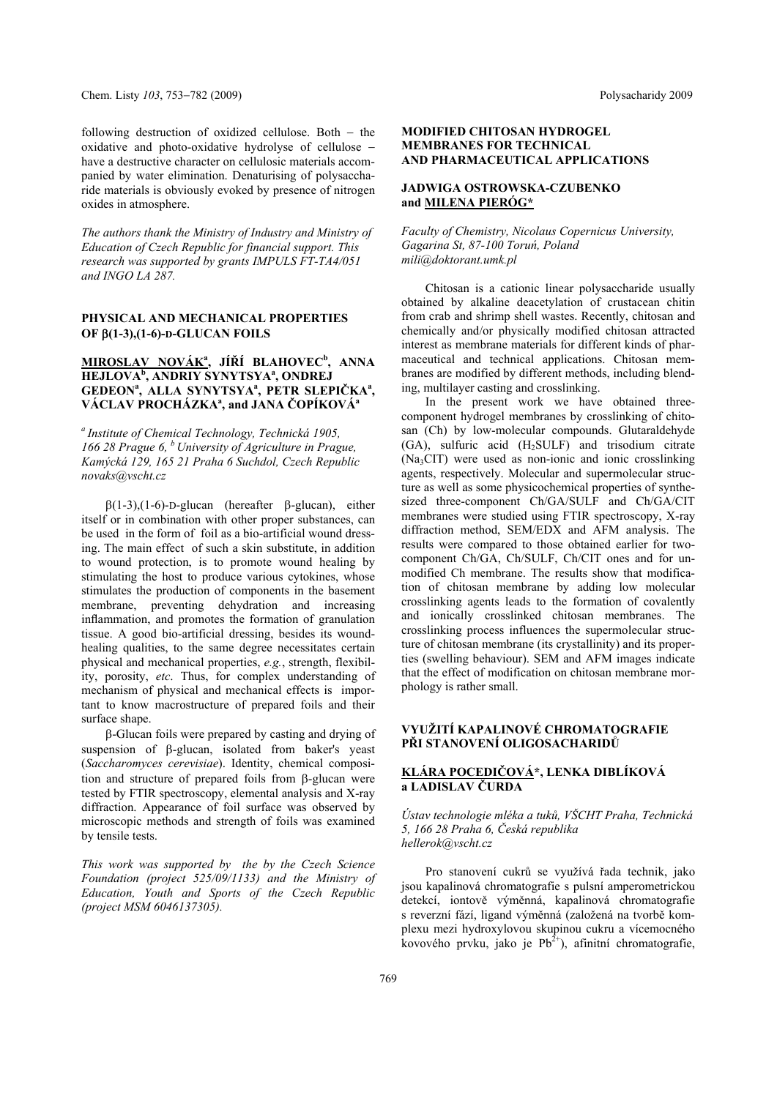following destruction of oxidized cellulose. Both  $-$  the oxidative and photo-oxidative hydrolyse of cellulose have a destructive character on cellulosic materials accompanied by water elimination. Denaturising of polysaccharide materials is obviously evoked by presence of nitrogen oxides in atmosphere.

*The authors thank the Ministry of Industry and Ministry of Education of Czech Republic for financial support. This research was supported by grants IMPULS FT-TA4/051 and INGO LA 287.* 

### **PHYSICAL AND MECHANICAL PROPERTIES OF (1-3),(1-6)-D-GLUCAN FOILS**

## **MIROSLAV NOVÁK<sup>a</sup> , JÍŘÍ BLAHOVEC<sup>b</sup> , ANNA HEJLOVA<sup>b</sup> , ANDRIY SYNYTSYAa , ONDREJ GEDEONa , ALLA SYNYTSYA<sup>a</sup> , PETR SLEPIČKAa ,**   $V$ ÁCLAV PROCHÁZKAª, and JANA ČOPÍKOVÁª

*a Institute of Chemical Technology, Technická 1905, 166 28 Prague 6, b University of Agriculture in Prague, Kamýcká 129, 165 21 Praha 6 Suchdol, Czech Republic novaks@vscht.cz* 

 $\beta$ (1-3),(1-6)-D-glucan (hereafter  $\beta$ -glucan), either itself or in combination with other proper substances, can be used in the form of foil as a bio-artificial wound dressing. The main effect of such a skin substitute, in addition to wound protection, is to promote wound healing by stimulating the host to produce various cytokines, whose stimulates the production of components in the basement membrane, preventing dehydration and increasing inflammation, and promotes the formation of granulation tissue. A good bio-artificial dressing, besides its woundhealing qualities, to the same degree necessitates certain physical and mechanical properties, *e.g.*, strength, flexibility, porosity, *etc*. Thus, for complex understanding of mechanism of physical and mechanical effects is important to know macrostructure of prepared foils and their surface shape.

 $\beta$ -Glucan foils were prepared by casting and drying of suspension of  $\beta$ -glucan, isolated from baker's yeast (*Saccharomyces cerevisiae*). Identity, chemical composition and structure of prepared foils from  $\beta$ -glucan were tested by FTIR spectroscopy, elemental analysis and X-ray diffraction. Appearance of foil surface was observed by microscopic methods and strength of foils was examined by tensile tests.

*This work was supported by the by the Czech Science Foundation (project 525/09/1133) and the Ministry of Education, Youth and Sports of the Czech Republic (project MSM 6046137305).* 

### **MODIFIED CHITOSAN HYDROGEL MEMBRANES FOR TECHNICAL AND PHARMACEUTICAL APPLICATIONS**

## **JADWIGA OSTROWSKA-CZUBENKO and MILENA PIERÓG\***

*Faculty of Chemistry, Nicolaus Copernicus University, Gagarina St, 87-100 Toruń, Poland mili@doktorant.umk.pl*

Chitosan is a cationic linear polysaccharide usually obtained by alkaline deacetylation of crustacean chitin from crab and shrimp shell wastes. Recently, chitosan and chemically and/or physically modified chitosan attracted interest as membrane materials for different kinds of pharmaceutical and technical applications. Chitosan membranes are modified by different methods, including blending, multilayer casting and crosslinking.

In the present work we have obtained threecomponent hydrogel membranes by crosslinking of chitosan (Ch) by low-molecular compounds. Glutaraldehyde (GA), sulfuric acid (H2SULF) and trisodium citrate (Na3CIT) were used as non-ionic and ionic crosslinking agents, respectively. Molecular and supermolecular structure as well as some physicochemical properties of synthesized three-component Ch/GA/SULF and Ch/GA/CIT membranes were studied using FTIR spectroscopy, X-ray diffraction method, SEM/EDX and AFM analysis. The results were compared to those obtained earlier for twocomponent Ch/GA, Ch/SULF, Ch/CIT ones and for unmodified Ch membrane. The results show that modification of chitosan membrane by adding low molecular crosslinking agents leads to the formation of covalently and ionically crosslinked chitosan membranes. The crosslinking process influences the supermolecular structure of chitosan membrane (its crystallinity) and its properties (swelling behaviour). SEM and AFM images indicate that the effect of modification on chitosan membrane morphology is rather small.

# **VYUŽITÍ KAPALINOVÉ CHROMATOGRAFIE PŘI STANOVENÍ OLIGOSACHARIDŮ**

# **KLÁRA POCEDIČOVÁ\*, LENKA DIBLÍKOVÁ a LADISLAV ČURDA**

*Ústav technologie mléka a tuků, VŠCHT Praha, Technická 5, 166 28 Praha 6, Česká republika hellerok@vscht.cz* 

Pro stanovení cukrů se využívá řada technik, jako jsou kapalinová chromatografie s pulsní amperometrickou detekcí, iontově výměnná, kapalinová chromatografie s reverzní fází, ligand výměnná (založená na tvorbě komplexu mezi hydroxylovou skupinou cukru a vícemocného kovového prvku, jako je  $Pb^{2+}$ ), afinitní chromatografie,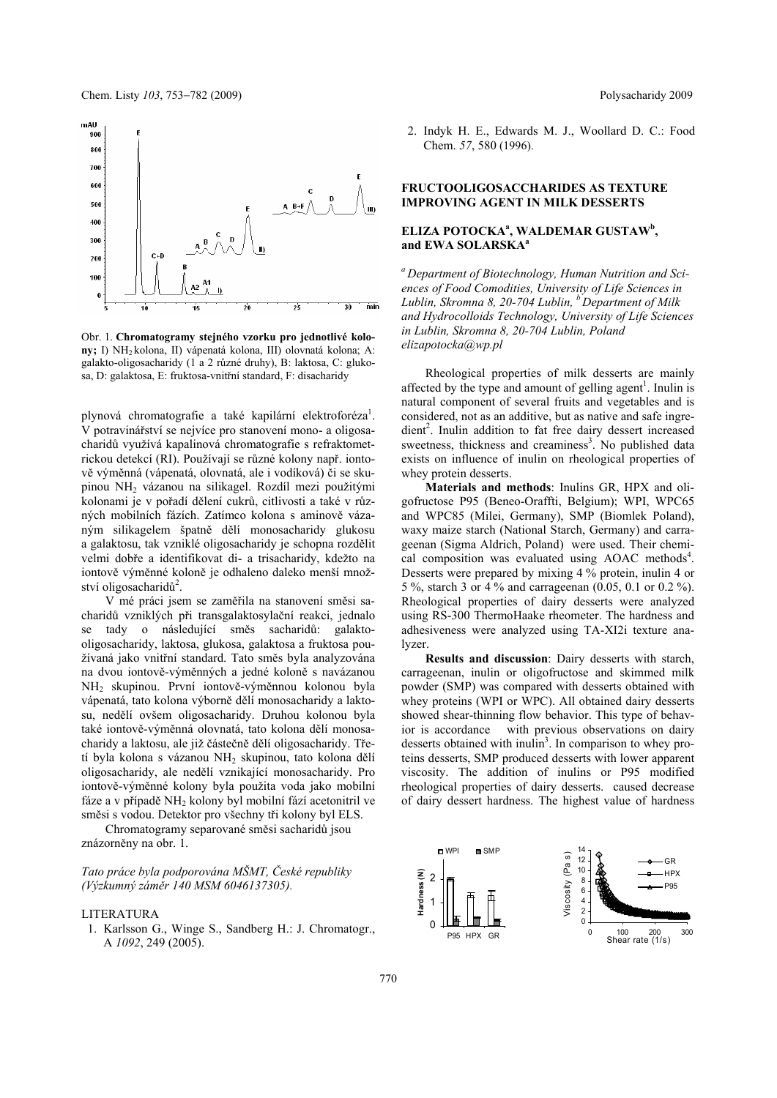Chem. Listy 103, 753–782 (2009) **Polysacharidy 2009** Polysacharidy 2009



Obr. 1. **Chromatogramy stejného vzorku pro jednotlivé kolony;** I) NH2 kolona, II) vápenatá kolona, III) olovnatá kolona; A: galakto-oligosacharidy (1 a 2 různé druhy), B: laktosa, C: glukosa, D: galaktosa, E: fruktosa-vnitřní standard, F: disacharidy

plynová chromatografie a také kapilární elektroforéza<sup>1</sup>. V potravinářství se nejvíce pro stanovení mono- a oligosacharidů využívá kapalinová chromatografie s refraktometrickou detekcí (RI). Používají se různé kolony např. iontově výměnná (vápenatá, olovnatá, ale i vodíková) či se skupinou NH2 vázanou na silikagel. Rozdíl mezi použitými kolonami je v pořadí dělení cukrů, citlivosti a také v různých mobilních fázích. Zatímco kolona s aminově vázaným silikagelem špatně dělí monosacharidy glukosu a galaktosu, tak vzniklé oligosacharidy je schopna rozdělit velmi dobře a identifikovat di- a trisacharidy, kdežto na iontově výměnné koloně je odhaleno daleko menší množství oligosacharidů<sup>2</sup>.

V mé práci jsem se zaměřila na stanovení směsi sacharidů vzniklých při transgalaktosylační reakci, jednalo se tady o následující směs sacharidů: galaktooligosacharidy, laktosa, glukosa, galaktosa a fruktosa používaná jako vnitřní standard. Tato směs byla analyzována na dvou iontově-výměnných a jedné koloně s navázanou NH2 skupinou. První iontově-výměnnou kolonou byla vápenatá, tato kolona výborně dělí monosacharidy a laktosu, nedělí ovšem oligosacharidy. Druhou kolonou byla také iontově-výměnná olovnatá, tato kolona dělí monosacharidy a laktosu, ale již částečně dělí oligosacharidy. Třetí byla kolona s vázanou NH2 skupinou, tato kolona dělí oligosacharidy, ale nedělí vznikající monosacharidy. Pro iontově-výměnné kolony byla použita voda jako mobilní fáze a v případě NH2 kolony byl mobilní fází acetonitril ve směsi s vodou. Detektor pro všechny tři kolony byl ELS.

Chromatogramy separované směsi sacharidů jsou znázorněny na obr. 1.

*Tato práce byla podporována MŠMT, České republiky (Výzkumný záměr 140 MSM 6046137305).*

#### LITERATURA

 1. Karlsson G., Winge S., Sandberg H.: J. Chromatogr., A *1092*, 249 (2005).

 2. Indyk H. E., Edwards M. J., Woollard D. C.: Food Chem. *57*, 580 (1996).

### **FRUCTOOLIGOSACCHARIDES AS TEXTURE IMPROVING AGENT IN MILK DESSERTS**

## **ELIZA POTOCKA<sup>a</sup> , WALDEMAR GUSTAW<sup>b</sup> , and EWA SOLARSKAa**

*a Department of Biotechnology, Human Nutrition and Sciences of Food Comodities, University of Life Sciences in*  Lublin, Skromna 8, 20-704 Lublin, <sup>b</sup> Department of Milk *and Hydrocolloids Technology, University of Life Sciences in Lublin, Skromna 8, 20-704 Lublin, Poland elizapotocka@wp.pl* 

Rheological properties of milk desserts are mainly affected by the type and amount of gelling agent<sup>1</sup>. Inulin is natural component of several fruits and vegetables and is considered, not as an additive, but as native and safe ingredient<sup>2</sup>. Inulin addition to fat free dairy dessert increased sweetness, thickness and creaminess<sup>3</sup>. No published data exists on influence of inulin on rheological properties of whey protein desserts.

**Materials and methods**: Inulins GR, HPX and oligofructose P95 (Beneo-Oraffti, Belgium); WPI, WPC65 and WPC85 (Milei, Germany), SMP (Biomlek Poland), waxy maize starch (National Starch, Germany) and carrageenan (Sigma Aldrich, Poland) were used. Their chemical composition was evaluated using AOAC methods<sup>4</sup>. Desserts were prepared by mixing 4 % protein, inulin 4 or 5 %, starch 3 or 4 % and carrageenan (0.05, 0.1 or 0.2 %). Rheological properties of dairy desserts were analyzed using RS-300 ThermoHaake rheometer. The hardness and adhesiveness were analyzed using TA-XI2i texture analyzer.

**Results and discussion**: Dairy desserts with starch, carrageenan, inulin or oligofructose and skimmed milk powder (SMP) was compared with desserts obtained with whey proteins (WPI or WPC). All obtained dairy desserts showed shear-thinning flow behavior. This type of behavior is accordance with previous observations on dairy desserts obtained with inulin<sup>3</sup>. In comparison to whey proteins desserts, SMP produced desserts with lower apparent viscosity. The addition of inulins or P95 modified rheological properties of dairy desserts. caused decrease of dairy dessert hardness. The highest value of hardness

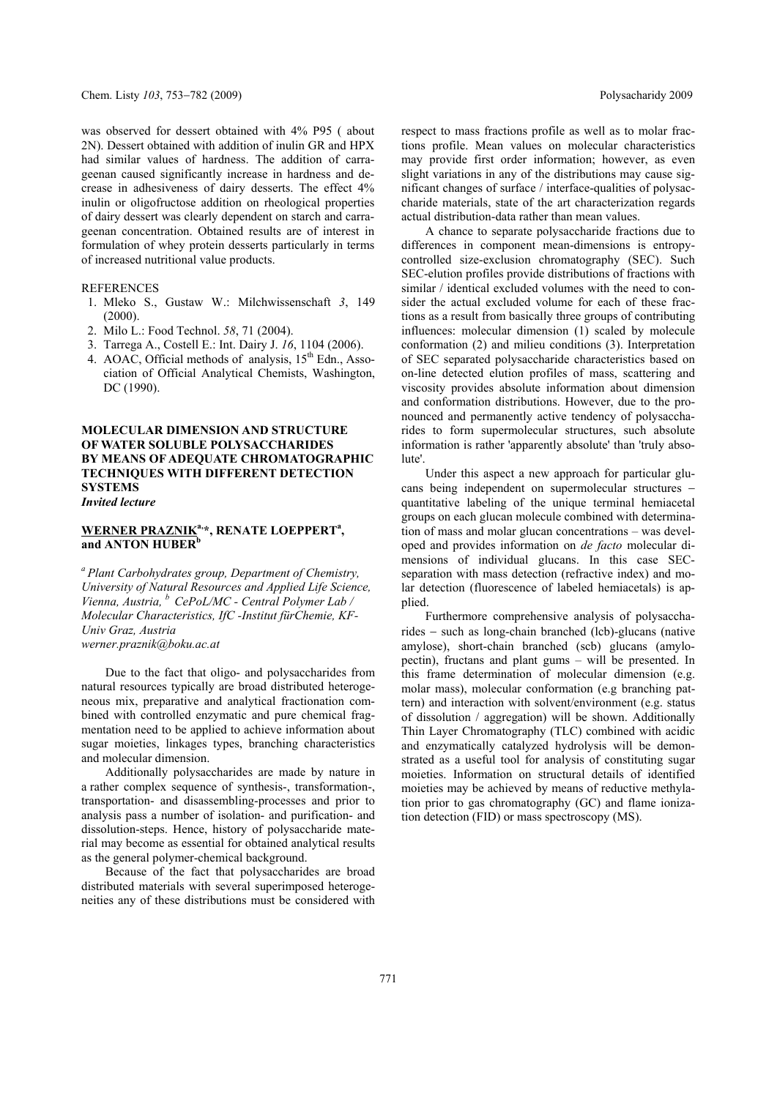was observed for dessert obtained with 4% P95 ( about 2N). Dessert obtained with addition of inulin GR and HPX had similar values of hardness. The addition of carrageenan caused significantly increase in hardness and decrease in adhesiveness of dairy desserts. The effect 4% inulin or oligofructose addition on rheological properties of dairy dessert was clearly dependent on starch and carrageenan concentration. Obtained results are of interest in formulation of whey protein desserts particularly in terms of increased nutritional value products.

#### REFERENCES

- 1. Mleko S., Gustaw W.: Milchwissenschaft *3*, 149 (2000).
- 2. Milo L.: Food Technol. *58*, 71 (2004).
- 3. Tarrega A., Costell E.: Int. Dairy J. *16*, 1104 (2006).
- 4. AOAC, Official methods of analysis, 15<sup>th</sup> Edn., Association of Official Analytical Chemists, Washington, DC (1990).

### **MOLECULAR DIMENSION AND STRUCTURE OF WATER SOLUBLE POLYSACCHARIDES BY MEANS OF ADEQUATE CHROMATOGRAPHIC TECHNIQUES WITH DIFFERENT DETECTION SYSTEMS**  *Invited lecture*

## **WERNER PRAZNIKa,\*, RENATE LOEPPERTa ,**  and ANTON HUBER<sup>b</sup>

*a Plant Carbohydrates group, Department of Chemistry, University of Natural Resources and Applied Life Science, Vienna, Austria, b CePoL/MC - Central Polymer Lab / Molecular Characteristics, IfC -Institut fürChemie, KF-Univ Graz, Austria werner.praznik@boku.ac.at* 

Due to the fact that oligo- and polysaccharides from natural resources typically are broad distributed heterogeneous mix, preparative and analytical fractionation combined with controlled enzymatic and pure chemical fragmentation need to be applied to achieve information about sugar moieties, linkages types, branching characteristics and molecular dimension.

Additionally polysaccharides are made by nature in a rather complex sequence of synthesis-, transformation-, transportation- and disassembling-processes and prior to analysis pass a number of isolation- and purification- and dissolution-steps. Hence, history of polysaccharide material may become as essential for obtained analytical results as the general polymer-chemical background.

Because of the fact that polysaccharides are broad distributed materials with several superimposed heterogeneities any of these distributions must be considered with respect to mass fractions profile as well as to molar fractions profile. Mean values on molecular characteristics may provide first order information; however, as even slight variations in any of the distributions may cause significant changes of surface / interface-qualities of polysaccharide materials, state of the art characterization regards actual distribution-data rather than mean values.

A chance to separate polysaccharide fractions due to differences in component mean-dimensions is entropycontrolled size-exclusion chromatography (SEC). Such SEC-elution profiles provide distributions of fractions with similar / identical excluded volumes with the need to consider the actual excluded volume for each of these fractions as a result from basically three groups of contributing influences: molecular dimension (1) scaled by molecule conformation (2) and milieu conditions (3). Interpretation of SEC separated polysaccharide characteristics based on on-line detected elution profiles of mass, scattering and viscosity provides absolute information about dimension and conformation distributions. However, due to the pronounced and permanently active tendency of polysaccharides to form supermolecular structures, such absolute information is rather 'apparently absolute' than 'truly absolute'.

Under this aspect a new approach for particular glucans being independent on supermolecular structures quantitative labeling of the unique terminal hemiacetal groups on each glucan molecule combined with determination of mass and molar glucan concentrations – was developed and provides information on *de facto* molecular dimensions of individual glucans. In this case SECseparation with mass detection (refractive index) and molar detection (fluorescence of labeled hemiacetals) is applied.

Furthermore comprehensive analysis of polysaccha $rides - such as long-chain branched (lcb)-glucans (native)$ amylose), short-chain branched (scb) glucans (amylopectin), fructans and plant gums – will be presented. In this frame determination of molecular dimension (e.g. molar mass), molecular conformation (e.g branching pattern) and interaction with solvent/environment (e.g. status of dissolution / aggregation) will be shown. Additionally Thin Layer Chromatography (TLC) combined with acidic and enzymatically catalyzed hydrolysis will be demonstrated as a useful tool for analysis of constituting sugar moieties. Information on structural details of identified moieties may be achieved by means of reductive methylation prior to gas chromatography (GC) and flame ionization detection (FID) or mass spectroscopy (MS).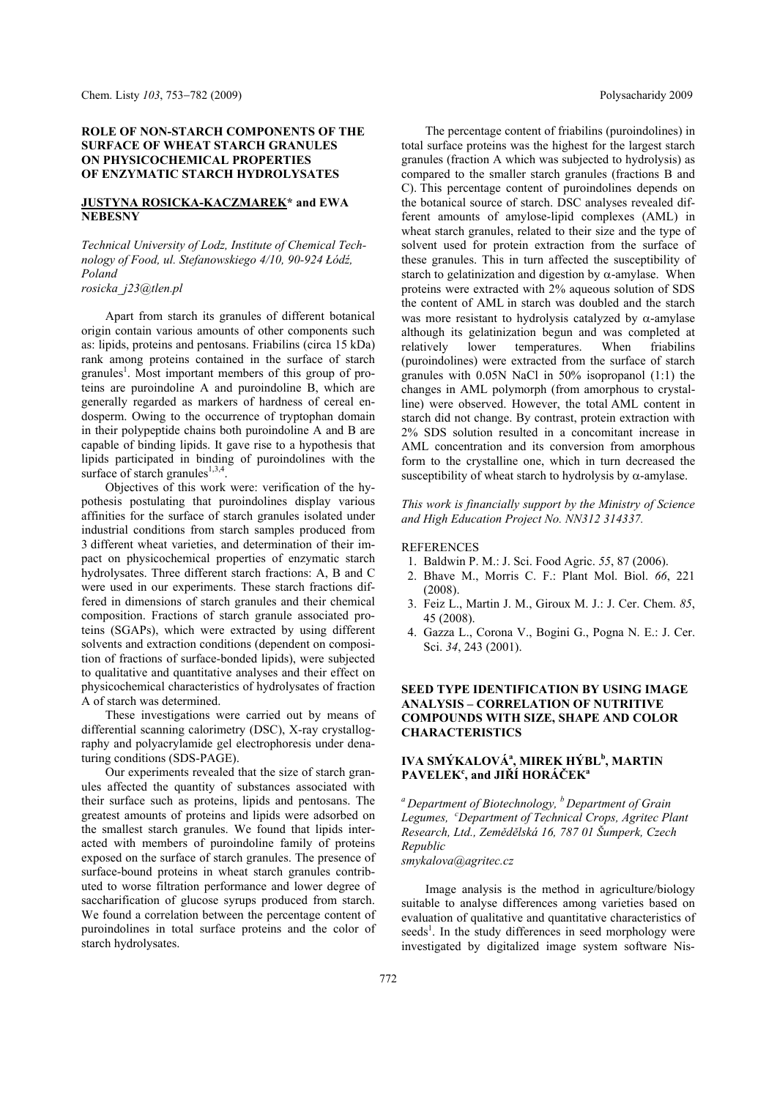### **ROLE OF NON-STARCH COMPONENTS OF THE SURFACE OF WHEAT STARCH GRANULES ON PHYSICOCHEMICAL PROPERTIES OF ENZYMATIC STARCH HYDROLYSATES**

### **JUSTYNA ROSICKA-KACZMAREK\* and EWA NEBESNY**

*Technical University of Lodz, Institute of Chemical Technology of Food, ul. Stefanowskiego 4/10, 90-924 Łódź, Poland rosicka\_j23@tlen.pl* 

Apart from starch its granules of different botanical origin contain various amounts of other components such as: lipids, proteins and pentosans. Friabilins (circa 15 kDa) rank among proteins contained in the surface of starch granules<sup>1</sup>. Most important members of this group of proteins are puroindoline A and puroindoline B, which are generally regarded as markers of hardness of cereal endosperm. Owing to the occurrence of tryptophan domain in their polypeptide chains both puroindoline A and B are capable of binding lipids. It gave rise to a hypothesis that lipids participated in binding of puroindolines with the surface of starch granules $^{1,3,4}$ .

Objectives of this work were: verification of the hypothesis postulating that puroindolines display various affinities for the surface of starch granules isolated under industrial conditions from starch samples produced from 3 different wheat varieties, and determination of their impact on physicochemical properties of enzymatic starch hydrolysates. Three different starch fractions: A, B and C were used in our experiments. These starch fractions differed in dimensions of starch granules and their chemical composition. Fractions of starch granule associated proteins (SGAPs), which were extracted by using different solvents and extraction conditions (dependent on composition of fractions of surface-bonded lipids), were subjected to qualitative and quantitative analyses and their effect on physicochemical characteristics of hydrolysates of fraction A of starch was determined.

These investigations were carried out by means of differential scanning calorimetry (DSC), X-ray crystallography and polyacrylamide gel electrophoresis under denaturing conditions (SDS-PAGE).

Our experiments revealed that the size of starch granules affected the quantity of substances associated with their surface such as proteins, lipids and pentosans. The greatest amounts of proteins and lipids were adsorbed on the smallest starch granules. We found that lipids interacted with members of puroindoline family of proteins exposed on the surface of starch granules. The presence of surface-bound proteins in wheat starch granules contributed to worse filtration performance and lower degree of saccharification of glucose syrups produced from starch. We found a correlation between the percentage content of puroindolines in total surface proteins and the color of starch hydrolysates.

The percentage content of friabilins (puroindolines) in total surface proteins was the highest for the largest starch granules (fraction A which was subjected to hydrolysis) as compared to the smaller starch granules (fractions B and C). This percentage content of puroindolines depends on the botanical source of starch. DSC analyses revealed different amounts of amylose-lipid complexes (AML) in wheat starch granules, related to their size and the type of solvent used for protein extraction from the surface of these granules. This in turn affected the susceptibility of starch to gelatinization and digestion by  $\alpha$ -amylase. When proteins were extracted with 2% aqueous solution of SDS the content of AML in starch was doubled and the starch was more resistant to hydrolysis catalyzed by  $\alpha$ -amylase although its gelatinization begun and was completed at relatively lower temperatures. When friabilins (puroindolines) were extracted from the surface of starch granules with 0.05N NaCl in 50% isopropanol (1:1) the changes in AML polymorph (from amorphous to crystalline) were observed. However, the total AML content in starch did not change. By contrast, protein extraction with 2% SDS solution resulted in a concomitant increase in AML concentration and its conversion from amorphous form to the crystalline one, which in turn decreased the susceptibility of wheat starch to hydrolysis by  $\alpha$ -amylase.

*This work is financially support by the Ministry of Science and High Education Project No. NN312 314337.* 

#### REFERENCES

- 1. Baldwin P. M.: J. Sci. Food Agric. *55*, 87 (2006).
- 2. Bhave M., Morris C. F.: Plant Mol. Biol. *66*, 221 (2008).
- 3. Feiz L., Martin J. M., Giroux M. J.: J. Cer. Chem. *85*, 45 (2008).
- 4. Gazza L., Corona V., Bogini G., Pogna N. E.: J. Cer. Sci. *34*, 243 (2001).

### **SEED TYPE IDENTIFICATION BY USING IMAGE ANALYSIS – CORRELATION OF NUTRITIVE COMPOUNDS WITH SIZE, SHAPE AND COLOR CHARACTERISTICS**

# **IVA SMÝKALOVÁa , MIREK HÝBL<sup>b</sup> , MARTIN PAVELEK<sup>c</sup> , and JIŘÍ HORÁČEK<sup>a</sup>**

*a Department of Biotechnology, b Department of Grain Legumes, <sup>c</sup> Department of Technical Crops, Agritec Plant Research, Ltd., Zemědělská 16, 787 01 Šumperk, Czech Republic* 

*smykalova@agritec.cz* 

Image analysis is the method in agriculture/biology suitable to analyse differences among varieties based on evaluation of qualitative and quantitative characteristics of seeds<sup>1</sup>. In the study differences in seed morphology were investigated by digitalized image system software Nis-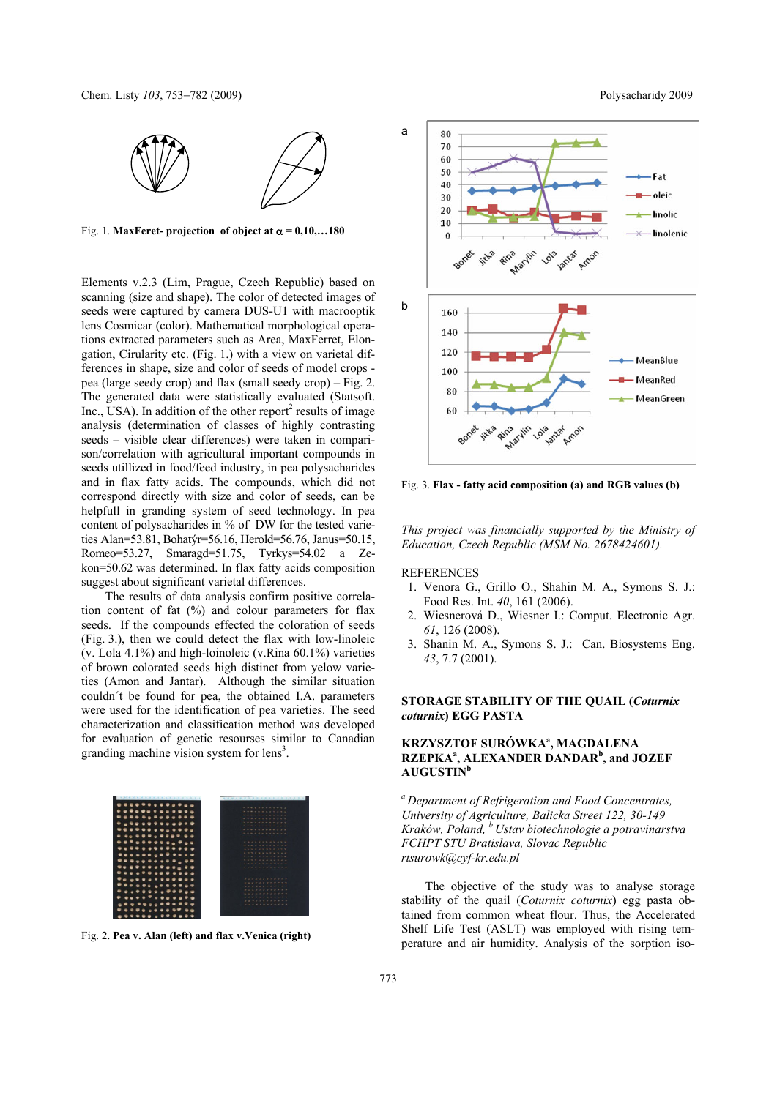

Fig. 1. **MaxFeret- projection** of object at  $\alpha = 0.10,...180$ 

Elements v.2.3 (Lim, Prague, Czech Republic) based on scanning (size and shape). The color of detected images of seeds were captured by camera DUS-U1 with macrooptik lens Cosmicar (color). Mathematical morphological operations extracted parameters such as Area, MaxFerret, Elongation, Cirularity etc. (Fig. 1.) with a view on varietal differences in shape, size and color of seeds of model crops pea (large seedy crop) and flax (small seedy crop) – Fig. 2. The generated data were statistically evaluated (Statsoft.  $Inc., USA$ ). In addition of the other report<sup>2</sup> results of image analysis (determination of classes of highly contrasting seeds – visible clear differences) were taken in comparison/correlation with agricultural important compounds in seeds utillized in food/feed industry, in pea polysacharides and in flax fatty acids. The compounds, which did not correspond directly with size and color of seeds, can be helpfull in granding system of seed technology. In pea content of polysacharides in % of DW for the tested varieties Alan=53.81, Bohatýr=56.16, Herold=56.76, Janus=50.15, Romeo=53.27, Smaragd=51.75, Tyrkys=54.02 a Zekon=50.62 was determined. In flax fatty acids composition suggest about significant varietal differences.

The results of data analysis confirm positive correlation content of fat (%) and colour parameters for flax seeds. If the compounds effected the coloration of seeds (Fig. 3.), then we could detect the flax with low-linoleic (v. Lola 4.1%) and high-loinoleic (v.Rina 60.1%) varieties of brown colorated seeds high distinct from yelow varieties (Amon and Jantar). Although the similar situation couldn´t be found for pea, the obtained I.A. parameters were used for the identification of pea varieties. The seed characterization and classification method was developed for evaluation of genetic resourses similar to Canadian granding machine vision system for lens<sup>3</sup>.



Fig. 2. **Pea v. Alan (left) and flax v.Venica (right)** 



Fig. 3. **Flax - fatty acid composition (a) and RGB values (b)**

*This project was financially supported by the Ministry of Education, Czech Republic (MSM No. 2678424601).* 

**REFERENCES** 

- 1. Venora G., Grillo O., Shahin M. A., Symons S. J.: Food Res. Int. *40*, 161 (2006).
- 2. Wiesnerová D., Wiesner I.: Comput. Electronic Agr. *61*, 126 (2008).
- 3. Shanin M. A., Symons S. J.: Can. Biosystems Eng. *43*, 7.7 (2001).

## **STORAGE STABILITY OF THE QUAIL (***Coturnix coturnix***) EGG PASTA**

# **KRZYSZTOF SURÓWKA<sup>a</sup>, MAGDALENA RZEPKA<sup>a</sup>, ALEXANDER DANDAR<sup>b</sup>, and JOZEF AUGUSTIN<sup>b</sup>**

*a Department of Refrigeration and Food Concentrates, University of Agriculture, Balicka Street 122, 30-149 Kraków, Poland, b Ustav biotechnologie a potravinarstva FCHPT STU Bratislava, Slovac Republic rtsurowk@cyf-kr.edu.pl* 

The objective of the study was to analyse storage stability of the quail (*Coturnix coturnix*) egg pasta obtained from common wheat flour. Thus, the Accelerated Shelf Life Test (ASLT) was employed with rising temperature and air humidity. Analysis of the sorption iso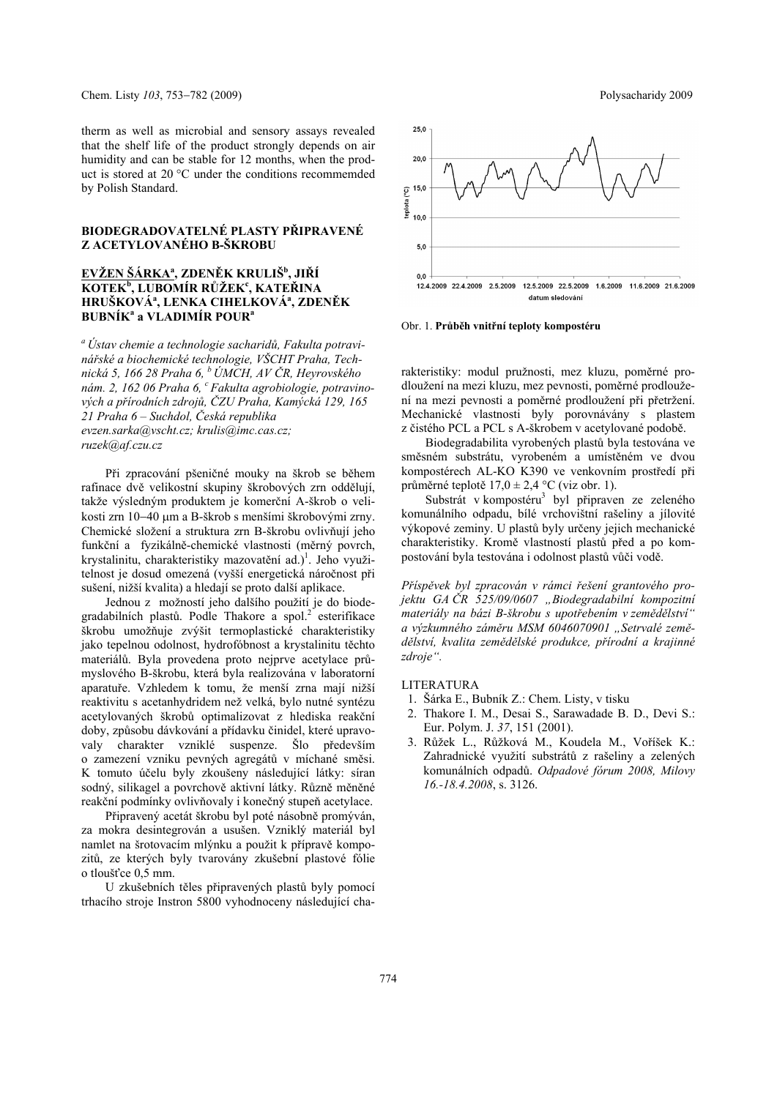therm as well as microbial and sensory assays revealed that the shelf life of the product strongly depends on air humidity and can be stable for 12 months, when the product is stored at 20 °C under the conditions recommemded by Polish Standard.

### **BIODEGRADOVATELNÉ PLASTY PŘIPRAVENÉ Z ACETYLOVANÉHO B-ŠKROBU**

# **EVŽEN ŠÁRKAa , ZDENĚK KRULIŠ<sup>b</sup> , JIŘÍ KOTEK<sup>b</sup> , LUBOMÍR RŮŽEK<sup>c</sup> , KATEŘINA HRUŠKOVÁa , LENKA CIHELKOVÁa , ZDENĚK BUBNÍK<sup>a</sup> a VLADIMÍR POURa**

*a Ústav chemie a technologie sacharidů, Fakulta potravinářské a biochemické technologie, VŠCHT Praha, Technická 5, 166 28 Praha 6, b ÚMCH, AV ČR, Heyrovského*  nám. 2, 162 06 Praha 6, <sup>c</sup> Fakulta agrobiologie, potravino*vých a přírodních zdrojů, ČZU Praha, Kamýcká 129, 165 21 Praha 6 – Suchdol, Česká republika evzen.sarka@vscht.cz; krulis@imc.cas.cz; ruzek@af.czu.cz*

Při zpracování pšeničné mouky na škrob se během rafinace dvě velikostní skupiny škrobových zrn oddělují, takže výsledným produktem je komerční A-škrob o velikosti zrn 10–40 µm a B-škrob s menšími škrobovými zrny. Chemické složení a struktura zrn B-škrobu ovlivňují jeho funkční a fyzikálně-chemické vlastnosti (měrný povrch, krystalinitu, charakteristiky mazovatění ad.)<sup>1</sup>. Jeho využitelnost je dosud omezená (vyšší energetická náročnost při sušení, nižší kvalita) a hledají se proto další aplikace.

Jednou z možností jeho dalšího použití je do biodegradabilních plastů. Podle Thakore a spol.<sup>2</sup> esterifikace škrobu umožňuje zvýšit termoplastické charakteristiky jako tepelnou odolnost, hydrofóbnost a krystalinitu těchto materiálů. Byla provedena proto nejprve acetylace průmyslového B-škrobu, která byla realizována v laboratorní aparatuře. Vzhledem k tomu, že menší zrna mají nižší reaktivitu s acetanhydridem než velká, bylo nutné syntézu acetylovaných škrobů optimalizovat z hlediska reakční doby, způsobu dávkování a přídavku činidel, které upravovaly charakter vzniklé suspenze. Šlo především o zamezení vzniku pevných agregátů v míchané směsi. K tomuto účelu byly zkoušeny následující látky: síran sodný, silikagel a povrchově aktivní látky. Různě měněné reakční podmínky ovlivňovaly i konečný stupeň acetylace.

Připravený acetát škrobu byl poté násobně promýván, za mokra desintegrován a usušen. Vzniklý materiál byl namlet na šrotovacím mlýnku a použit k přípravě kompozitů, ze kterých byly tvarovány zkušební plastové fólie o tloušťce 0,5 mm.

U zkušebních těles připravených plastů byly pomocí trhacího stroje Instron 5800 vyhodnoceny následující cha-



Obr. 1. **Průběh vnitřní teploty kompostéru** 

rakteristiky: modul pružnosti, mez kluzu, poměrné prodloužení na mezi kluzu, mez pevnosti, poměrné prodloužení na mezi pevnosti a poměrné prodloužení při přetržení. Mechanické vlastnosti byly porovnávány s plastem z čistého PCL a PCL s A-škrobem v acetylované podobě.

Biodegradabilita vyrobených plastů byla testována ve směsném substrátu, vyrobeném a umístěném ve dvou kompostérech AL-KO K390 ve venkovním prostředí při průměrné teplotě  $17.0 \pm 2.4$  °C (viz obr. 1).

Substrát v kompostéru<sup>3</sup> byl připraven ze zeleného komunálního odpadu, bílé vrchovištní rašeliny a jílovité výkopové zeminy. U plastů byly určeny jejich mechanické charakteristiky. Kromě vlastností plastů před a po kompostování byla testována i odolnost plastů vůči vodě.

*Příspěvek byl zpracován v rámci řešení grantového projektu GA ČR 525/09/0607 "Biodegradabilní kompozitní materiály na bázi B-škrobu s upotřebením v zemědělství" a výzkumného záměru MSM 6046070901 "Setrvalé zemědělství, kvalita zemědělské produkce, přírodní a krajinné zdroje".* 

LITERATURA

- 1. Šárka E., Bubník Z.: Chem. Listy, v tisku
- 2. Thakore I. M., Desai S., Sarawadade B. D., Devi S.: Eur. Polym. J. *37*, 151 (2001).
- 3. Růžek L., Růžková M., Koudela M., Voříšek K.: Zahradnické využití substrátů z rašeliny a zelených komunálních odpadů. *Odpadové fórum 2008, Milovy 16.-18.4.2008*, s. 3126.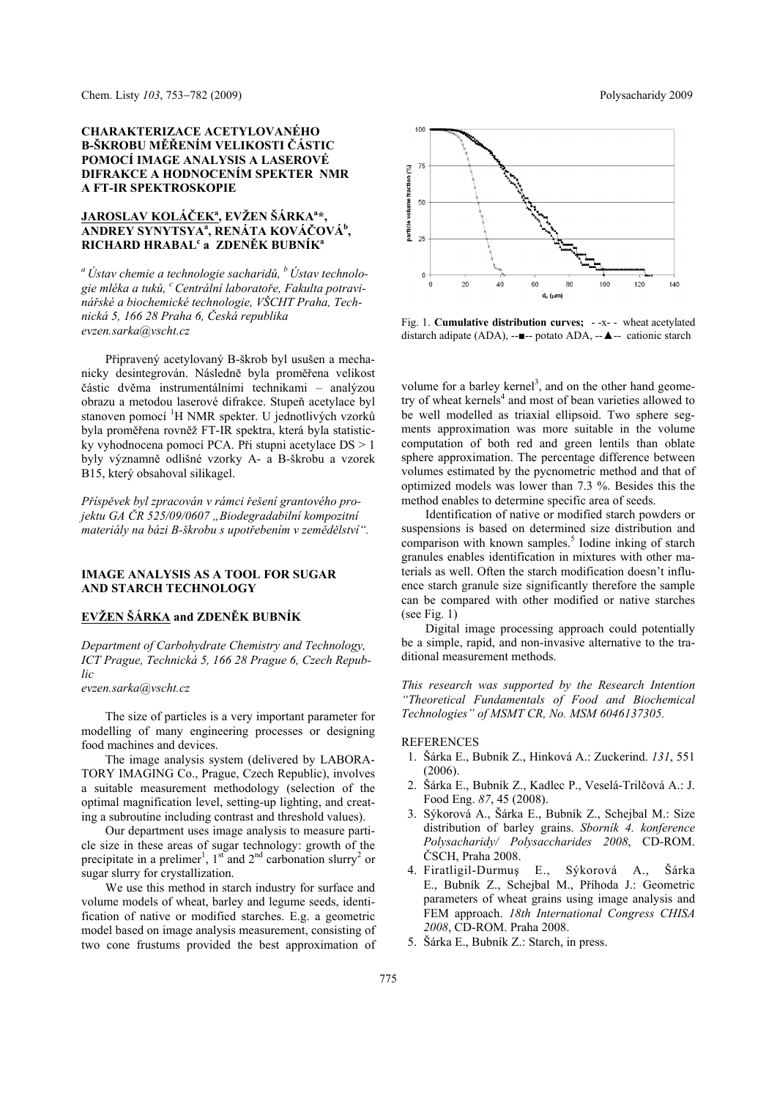### **CHARAKTERIZACE ACETYLOVANÉHO B-ŠKROBU MĚŘENÍM VELIKOSTI ČÁSTIC POMOCÍ IMAGE ANALYSIS A LASEROVÉ DIFRAKCE A HODNOCENÍM SPEKTER NMR A FT-IR SPEKTROSKOPIE**

## **JAROSLAV KOLÁČEK<sup>a</sup> , EVŽEN ŠÁRKA<sup>a</sup> \*, ANDREY SYNYTSYAa , RENÁTA KOVÁČOVÁb ,**   $\mathbf{RICHARD}$   $\mathbf{HRABAL}$ <sup>c</sup> a  $\mathbf{ZDEN}\check{\mathbf{EK}}$   $\mathbf{BUBN}\check{\mathbf{IK}}^{\mathbf{a}}$

*a Ústav chemie a technologie sacharidů, b Ústav technologie mléka a tuků, c Centrální laboratoře, Fakulta potravinářské a biochemické technologie, VŠCHT Praha, Technická 5, 166 28 Praha 6, Česká republika evzen.sarka@vscht.cz* 

Připravený acetylovaný B-škrob byl usušen a mechanicky desintegrován. Následně byla proměřena velikost částic dvěma instrumentálními technikami – analýzou obrazu a metodou laserové difrakce. Stupeň acetylace byl stanoven pomocí <sup>1</sup>H NMR spekter. U jednotlivých vzorků byla proměřena rovněž FT-IR spektra, která byla statisticky vyhodnocena pomocí PCA. Při stupni acetylace DS > 1 byly významně odlišné vzorky A- a B-škrobu a vzorek B15, který obsahoval silikagel.

*Příspěvek byl zpracován v rámci řešení grantového projektu GA ČR 525/09/0607 "Biodegradabilní kompozitní materiály na bázi B-škrobu s upotřebením v zemědělství".*

#### **IMAGE ANALYSIS AS A TOOL FOR SUGAR AND STARCH TECHNOLOGY**

### **EVŽEN ŠÁRKA and ZDENĚK BUBNÍK**

*Department of Carbohydrate Chemistry and Technology, ICT Prague, Technická 5, 166 28 Prague 6, Czech Republic* 

*evzen.sarka@vscht.cz* 

The size of particles is a very important parameter for modelling of many engineering processes or designing food machines and devices.

The image analysis system (delivered by LABORA-TORY IMAGING Co., Prague, Czech Republic), involves a suitable measurement methodology (selection of the optimal magnification level, setting-up lighting, and creating a subroutine including contrast and threshold values).

Our department uses image analysis to measure particle size in these areas of sugar technology: growth of the precipitate in a prelimer<sup>1</sup>,  $1<sup>st</sup>$  and  $2<sup>nd</sup>$  carbonation slurry<sup>2</sup> or sugar slurry for crystallization.

We use this method in starch industry for surface and volume models of wheat, barley and legume seeds, identification of native or modified starches. E.g. a geometric model based on image analysis measurement, consisting of two cone frustums provided the best approximation of



Fig. 1. **Cumulative distribution curves;** - -x- - wheat acetylated distarch adipate (ADA), --■-- potato ADA, --▲-- cationic starch

volume for a barley kernel<sup>3</sup>, and on the other hand geometry of wheat kernels<sup>4</sup> and most of bean varieties allowed to be well modelled as triaxial ellipsoid. Two sphere segments approximation was more suitable in the volume computation of both red and green lentils than oblate sphere approximation. The percentage difference between volumes estimated by the pycnometric method and that of optimized models was lower than 7.3 %. Besides this the method enables to determine specific area of seeds.

Identification of native or modified starch powders or suspensions is based on determined size distribution and comparison with known samples.<sup>5</sup> Iodine inking of starch granules enables identification in mixtures with other materials as well. Often the starch modification doesn't influence starch granule size significantly therefore the sample can be compared with other modified or native starches (see Fig. 1)

Digital image processing approach could potentially be a simple, rapid, and non-invasive alternative to the traditional measurement methods.

*This research was supported by the Research Intention "Theoretical Fundamentals of Food and Biochemical Technologies" of MSMT CR, No. MSM 6046137305.*

#### REFERENCES

- 1. Šárka E., Bubník Z., Hinková A.: Zuckerind. *131*, 551 (2006).
- 2. Šárka E., Bubník Z., Kadlec P., Veselá-Trilčová A.: J. Food Eng. *87*, 45 (2008).
- 3. Sýkorová A., Šárka E., Bubník Z., Schejbal M.: Size distribution of barley grains. *Sborník 4. konference Polysacharidy/ Polysaccharides 2008*, CD-ROM. ČSCH, Praha 2008.
- 4. Firatligil-Durmuş E., Sýkorová A., Šárka E., Bubník Z., Schejbal M., Příhoda J.: Geometric parameters of wheat grains using image analysis and FEM approach. *18th International Congress CHISA 2008*, CD-ROM. Praha 2008.
- 5. Šárka E., Bubník Z.: Starch, in press.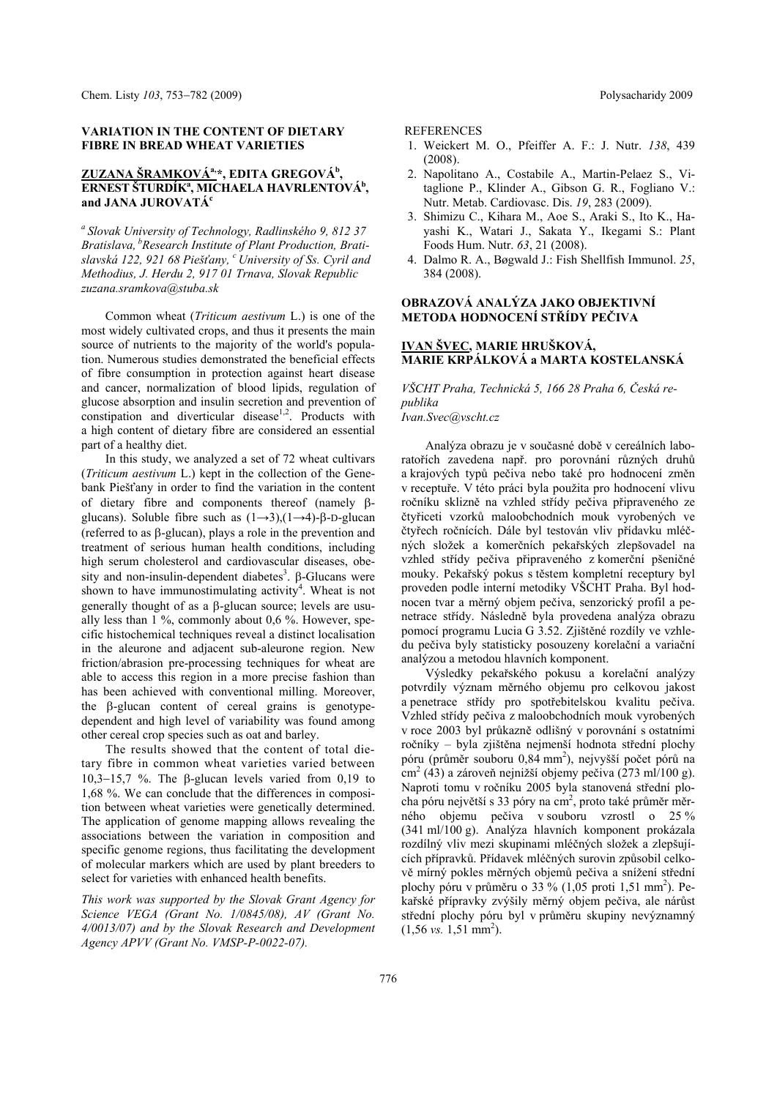#### **VARIATION IN THE CONTENT OF DIETARY FIBRE IN BREAD WHEAT VARIETIES**

### **ZUZANA ŠRAMKOVÁa,\*, EDITA GREGOVÁb , ERNEST ŠTURDÍK<sup>a</sup>, MICHAELA HAVRLENTOVÁ<sup>b</sup>, and JANA JUROVATÁ<sup>c</sup>**

*a Slovak University of Technology, Radlinského 9, 812 37 Bratislava, bResearch Institute of Plant Production, Bratislavská 122, 921 68 Piešťany, c University of Ss. Cyril and Methodius, J. Herdu 2, 917 01 Trnava, Slovak Republic zuzana.sramkova@stuba.sk* 

Common wheat (*Triticum aestivum* L.) is one of the most widely cultivated crops, and thus it presents the main source of nutrients to the majority of the world's population. Numerous studies demonstrated the beneficial effects of fibre consumption in protection against heart disease and cancer, normalization of blood lipids, regulation of glucose absorption and insulin secretion and prevention of constipation and diverticular disease<sup>1,2</sup>. Products with a high content of dietary fibre are considered an essential part of a healthy diet.

In this study, we analyzed a set of 72 wheat cultivars (*Triticum aestivum* L.) kept in the collection of the Genebank Piešťany in order to find the variation in the content of dietary fibre and components thereof (namely  $\beta$ glucans). Soluble fibre such as  $(1\rightarrow 3)$ , $(1\rightarrow 4)$ - $\beta$ -D-glucan (referred to as  $\beta$ -glucan), plays a role in the prevention and treatment of serious human health conditions, including high serum cholesterol and cardiovascular diseases, obesity and non-insulin-dependent diabetes<sup>3</sup>.  $\beta$ -Glucans were shown to have immunostimulating activity<sup>4</sup>. Wheat is not generally thought of as a  $\beta$ -glucan source; levels are usually less than 1 %, commonly about 0,6 %. However, specific histochemical techniques reveal a distinct localisation in the aleurone and adjacent sub-aleurone region. New friction/abrasion pre-processing techniques for wheat are able to access this region in a more precise fashion than has been achieved with conventional milling. Moreover, the  $\beta$ -glucan content of cereal grains is genotypedependent and high level of variability was found among other cereal crop species such as oat and barley.

The results showed that the content of total dietary fibre in common wheat varieties varied between 10,3-15,7 %. The  $\beta$ -glucan levels varied from 0,19 to 1,68 %. We can conclude that the differences in composition between wheat varieties were genetically determined. The application of genome mapping allows revealing the associations between the variation in composition and specific genome regions, thus facilitating the development of molecular markers which are used by plant breeders to select for varieties with enhanced health benefits.

*This work was supported by the Slovak Grant Agency for Science VEGA (Grant No. 1/0845/08), AV (Grant No. 4/0013/07) and by the Slovak Research and Development Agency APVV (Grant No. VMSP-P-0022-07).* 

#### REFERENCES

- 1. Weickert M. O., Pfeiffer A. F.: J. Nutr. *138*, 439 (2008).
- 2. Napolitano A., Costabile A., Martin-Pelaez S., Vitaglione P., Klinder A., Gibson G. R., Fogliano V.: Nutr. Metab. Cardiovasc. Dis. *19*, 283 (2009).
- 3. Shimizu C., Kihara M., Aoe S., Araki S., Ito K., Hayashi K., Watari J., Sakata Y., Ikegami S.: Plant Foods Hum. Nutr. *63*, 21 (2008).
- 4. Dalmo R. A., Bøgwald J.: Fish Shellfish Immunol. *25*, 384 (2008).

### **OBRAZOVÁ ANALÝZA JAKO OBJEKTIVNÍ METODA HODNOCENÍ STŘÍDY PEČIVA**

### **IVAN ŠVEC, MARIE HRUŠKOVÁ, MARIE KRPÁLKOVÁ a MARTA KOSTELANSKÁ**

*VŠCHT Praha, Technická 5, 166 28 Praha 6, Česká republika* 

*Ivan.Svec@vscht.cz* 

Analýza obrazu je v současné době v cereálních laboratořích zavedena např. pro porovnání různých druhů a krajových typů pečiva nebo také pro hodnocení změn v receptuře. V této práci byla použita pro hodnocení vlivu ročníku sklizně na vzhled střídy pečiva připraveného ze čtyřiceti vzorků maloobchodních mouk vyrobených ve čtyřech ročnících. Dále byl testován vliv přídavku mléčných složek a komerčních pekařských zlepšovadel na vzhled střídy pečiva připraveného z komerční pšeničné mouky. Pekařský pokus s těstem kompletní receptury byl proveden podle interní metodiky VŠCHT Praha. Byl hodnocen tvar a měrný objem pečiva, senzorický profil a penetrace střídy. Následně byla provedena analýza obrazu pomocí programu Lucia G 3.52. Zjištěné rozdíly ve vzhledu pečiva byly statisticky posouzeny korelační a variační analýzou a metodou hlavních komponent.

Výsledky pekařského pokusu a korelační analýzy potvrdily význam měrného objemu pro celkovou jakost a penetrace střídy pro spotřebitelskou kvalitu pečiva. Vzhled střídy pečiva z maloobchodních mouk vyrobených v roce 2003 byl průkazně odlišný v porovnání s ostatními ročníky – byla zjištěna nejmenší hodnota střední plochy póru (průměr souboru 0,84 mm<sup>2</sup>), nejvyšší počet pórů na  $\text{cm}^2$  (43) a zároveň nejnižší objemy pečiva (273 ml/100 g). Naproti tomu v ročníku 2005 byla stanovená střední plocha póru největší s 33 póry na cm<sup>2</sup>, proto také průměr měrného objemu pečiva v souboru vzrostl o 25 % (341 ml/100 g). Analýza hlavních komponent prokázala rozdílný vliv mezi skupinami mléčných složek a zlepšujících přípravků. Přídavek mléčných surovin způsobil celkově mírný pokles měrných objemů pečiva a snížení střední plochy póru v průměru o 33 % (1,05 proti 1,51 mm<sup>2</sup>). Pekařské přípravky zvýšily měrný objem pečiva, ale nárůst střední plochy póru byl v průměru skupiny nevýznamný  $(1,56 \text{ vs. } 1,51 \text{ mm}^2)$ .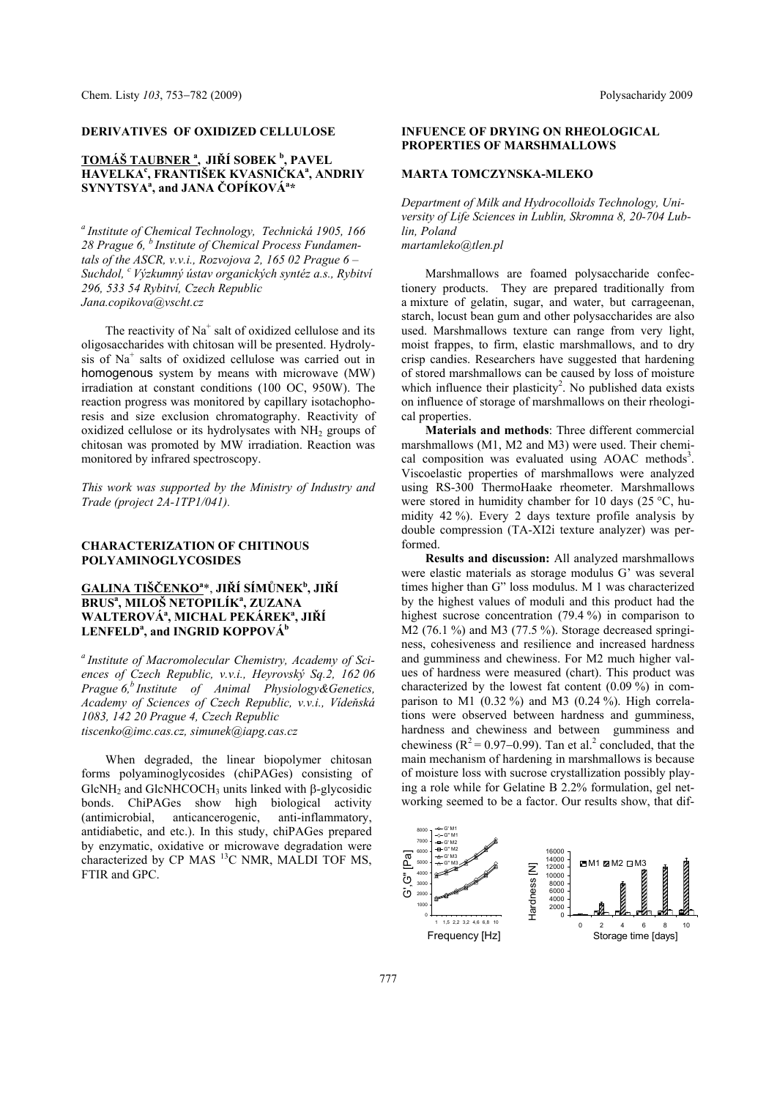#### **DERIVATIVES OF OXIDIZED CELLULOSE**

## **TOMÁŠ TAUBNER <sup>a</sup> , JIŘÍ SOBEK <sup>b</sup> , PAVEL HAVELKA<sup>c</sup> , FRANTIŠEK KVASNIČKAa , ANDRIY SYNYTSYA<sup>a</sup> , and JANA ČOPÍKOVÁa \***

*a Institute of Chemical Technology, Technická 1905, 166 28 Prague 6, b Institute of Chemical Process Fundamentals of the ASCR, v.v.i., Rozvojova 2, 165 02 Prague 6 – Suchdol, c Výzkumný ústav organických syntéz a.s., Rybitví 296, 533 54 Rybitví, Czech Republic Jana.copikova@vscht.cz* 

The reactivity of  $Na<sup>+</sup>$  salt of oxidized cellulose and its oligosaccharides with chitosan will be presented. Hydrolysis of Na+ salts of oxidized cellulose was carried out in homogenous system by means with microwave (MW) irradiation at constant conditions (100 OC, 950W). The reaction progress was monitored by capillary isotachophoresis and size exclusion chromatography. Reactivity of oxidized cellulose or its hydrolysates with  $NH<sub>2</sub>$  groups of chitosan was promoted by MW irradiation. Reaction was monitored by infrared spectroscopy.

*This work was supported by the Ministry of Industry and Trade (project 2A-1TP1/041).* 

#### **CHARACTERIZATION OF CHITINOUS POLYAMINOGLYCOSIDES**

## **GALINA TIŠČENKO<sup>a</sup>** \*, **JIŘÍ SÍMŮNEK<sup>b</sup> , JIŘÍ BRUS<sup>a</sup> , MILOŠ NETOPILÍK<sup>a</sup> , ZUZANA WALTEROVÁa , MICHAL PEKÁREKa , JIŘÍ**   $\textrm{LENFELD}^{a}$ , and INGRID KOPPOVÁ<sup>b</sup>

*a Institute of Macromolecular Chemistry, Academy of Sciences of Czech Republic, v.v.i., Heyrovský Sq.2, 162 06 Prague 6,b Institute of Animal Physiology&Genetics, Academy of Sciences of Czech Republic, v.v.i., Vídeňská 1083, 142 20 Prague 4, Czech Republic tiscenko@imc.cas.cz, simunek@iapg.cas.cz*

When degraded, the linear biopolymer chitosan forms polyaminoglycosides (chiPAGes) consisting of  $GlcNH<sub>2</sub>$  and  $GlcNHCOCH<sub>3</sub>$  units linked with  $\beta$ -glycosidic bonds. ChiPAGes show high biological activity (antimicrobial, anticancerogenic, anti-inflammatory, antidiabetic, and etc.). In this study, chiPAGes prepared by enzymatic, oxidative or microwave degradation were characterized by CP MAS <sup>13</sup>C NMR, MALDI TOF MS, FTIR and GPC.

### **INFUENCE OF DRYING ON RHEOLOGICAL PROPERTIES OF MARSHMALLOWS**

#### **MARTA TOMCZYNSKA-MLEKO**

*Department of Milk and Hydrocolloids Technology, University of Life Sciences in Lublin, Skromna 8, 20-704 Lublin, Poland martamleko@tlen.pl* 

Marshmallows are foamed polysaccharide confectionery products. They are prepared traditionally from a mixture of gelatin, sugar, and water, but carrageenan, starch, locust bean gum and other polysaccharides are also used. Marshmallows texture can range from very light, moist frappes, to firm, elastic marshmallows, and to dry crisp candies. Researchers have suggested that hardening of stored marshmallows can be caused by loss of moisture which influence their plasticity<sup>2</sup>. No published data exists on influence of storage of marshmallows on their rheological properties.

**Materials and methods**: Three different commercial marshmallows (M1, M2 and M3) were used. Their chemical composition was evaluated using AOAC methods<sup>3</sup>. Viscoelastic properties of marshmallows were analyzed using RS-300 ThermoHaake rheometer. Marshmallows were stored in humidity chamber for 10 days (25 °C, humidity 42 %). Every 2 days texture profile analysis by double compression (TA-XI2i texture analyzer) was performed.

**Results and discussion:** All analyzed marshmallows were elastic materials as storage modulus G' was several times higher than G" loss modulus. M 1 was characterized by the highest values of moduli and this product had the highest sucrose concentration (79.4 %) in comparison to M2 (76.1 %) and M3 (77.5 %). Storage decreased springiness, cohesiveness and resilience and increased hardness and gumminess and chewiness. For M2 much higher values of hardness were measured (chart). This product was characterized by the lowest fat content (0.09 %) in comparison to M1  $(0.32\%)$  and M3  $(0.24\%)$ . High correlations were observed between hardness and gumminess, hardness and chewiness and between gumminess and chewiness ( $R^2 = 0.97 - 0.99$ ). Tan et al.<sup>2</sup> concluded, that the main mechanism of hardening in marshmallows is because of moisture loss with sucrose crystallization possibly playing a role while for Gelatine B 2.2% formulation, gel networking seemed to be a factor. Our results show, that dif-

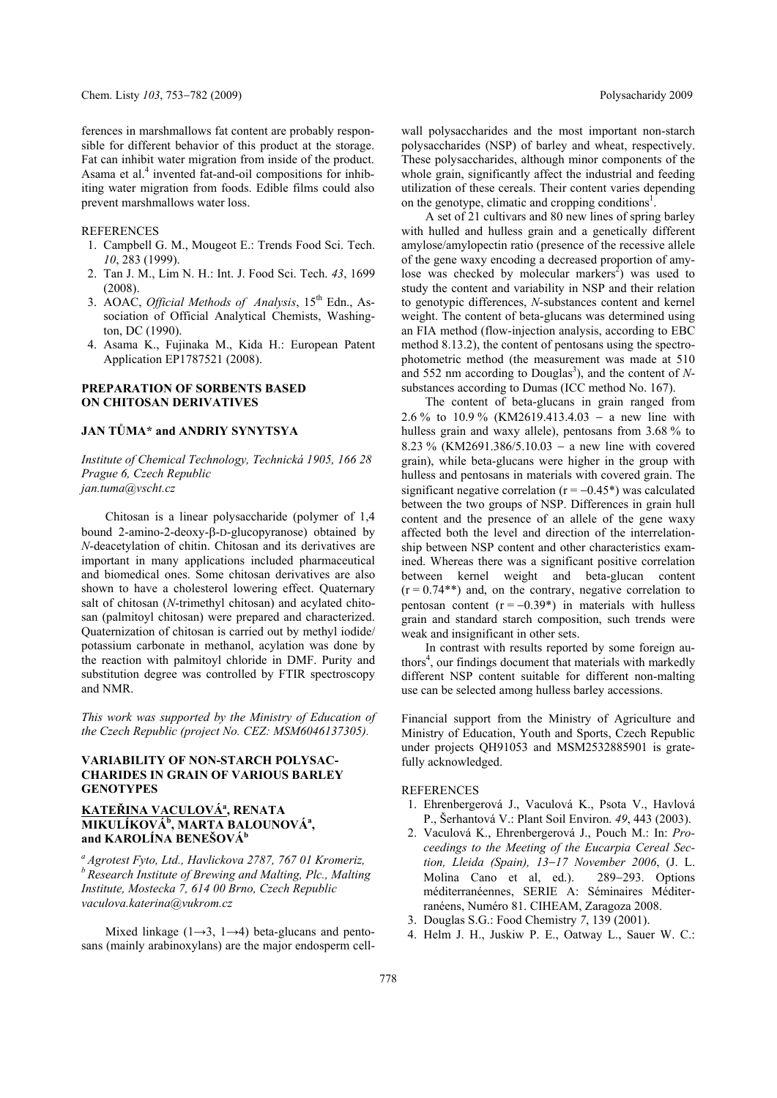ferences in marshmallows fat content are probably responsible for different behavior of this product at the storage. Fat can inhibit water migration from inside of the product. Asama et al.<sup>4</sup> invented fat-and-oil compositions for inhibiting water migration from foods. Edible films could also prevent marshmallows water loss.

**REFERENCES** 

- 1. Campbell G. M., Mougeot E.: Trends Food Sci. Tech. *10*, 283 (1999).
- 2. Tan J. M., Lim N. H.: Int. J. Food Sci. Tech. *43*, 1699 (2008).
- 3. AOAC, *Official Methods of Analysis*, 15<sup>th</sup> Edn., Association of Official Analytical Chemists, Washington, DC (1990).
- 4. Asama K., Fujinaka M., Kida H.: European Patent Application EP1787521 (2008).

### **PREPARATION OF SORBENTS BASED ON CHITOSAN DERIVATIVES**

#### **JAN TŮMA\* and ANDRIY SYNYTSYA**

*Institute of Chemical Technology, Technická 1905, 166 28 Prague 6, Czech Republic jan.tuma@vscht.cz* 

Chitosan is a linear polysaccharide (polymer of 1,4 bound 2-amino-2-deoxy- $\beta$ -D-glucopyranose) obtained by *N*-deacetylation of chitin. Chitosan and its derivatives are important in many applications included pharmaceutical and biomedical ones. Some chitosan derivatives are also shown to have a cholesterol lowering effect. Quaternary salt of chitosan (*N*-trimethyl chitosan) and acylated chitosan (palmitoyl chitosan) were prepared and characterized. Quaternization of chitosan is carried out by methyl iodide/ potassium carbonate in methanol, acylation was done by the reaction with palmitoyl chloride in DMF. Purity and substitution degree was controlled by FTIR spectroscopy and NMR.

*This work was supported by the Ministry of Education of the Czech Republic (project No. CEZ: MSM6046137305).* 

### **VARIABILITY OF NON-STARCH POLYSAC-CHARIDES IN GRAIN OF VARIOUS BARLEY GENOTYPES**

# **KATEŘINA VACULOVÁa , RENATA MIKULÍKOVÁb , MARTA BALOUNOVÁa , and KAROLÍNA BENEŠOVÁ<sup>b</sup>**

*a Agrotest Fyto, Ltd., Havlickova 2787, 767 01 Kromeriz, b Research Institute of Brewing and Malting, Plc., Malting Institute, Mostecka 7, 614 00 Brno, Czech Republic vaculova.katerina@vukrom.cz* 

Mixed linkage ( $1\rightarrow 3$ ,  $1\rightarrow 4$ ) beta-glucans and pentosans (mainly arabinoxylans) are the major endosperm cellwall polysaccharides and the most important non-starch polysaccharides (NSP) of barley and wheat, respectively. These polysaccharides, although minor components of the whole grain, significantly affect the industrial and feeding utilization of these cereals. Their content varies depending on the genotype, climatic and cropping conditions<sup>1</sup>.

A set of 21 cultivars and 80 new lines of spring barley with hulled and hulless grain and a genetically different amylose/amylopectin ratio (presence of the recessive allele of the gene waxy encoding a decreased proportion of amylose was checked by molecular markers<sup>2</sup>) was used to study the content and variability in NSP and their relation to genotypic differences, *N*-substances content and kernel weight. The content of beta-glucans was determined using an FIA method (flow-injection analysis, according to EBC method 8.13.2), the content of pentosans using the spectrophotometric method (the measurement was made at 510 and 552 nm according to Douglas<sup>3</sup>), and the content of Nsubstances according to Dumas (ICC method No. 167).

The content of beta-glucans in grain ranged from 2.6 % to 10.9 % (KM2619.413.4.03 – a new line with hulless grain and waxy allele), pentosans from 3.68 % to 8.23 % (KM2691.386/5.10.03 – a new line with covered grain), while beta-glucans were higher in the group with hulless and pentosans in materials with covered grain. The significant negative correlation ( $r = -0.45^*$ ) was calculated between the two groups of NSP. Differences in grain hull content and the presence of an allele of the gene waxy affected both the level and direction of the interrelationship between NSP content and other characteristics examined. Whereas there was a significant positive correlation between kernel weight and beta-glucan content  $(r = 0.74**)$  and, on the contrary, negative correlation to pentosan content  $(r = -0.39^*)$  in materials with hulless grain and standard starch composition, such trends were weak and insignificant in other sets.

In contrast with results reported by some foreign authors<sup>4</sup>, our findings document that materials with markedly different NSP content suitable for different non-malting use can be selected among hulless barley accessions.

Financial support from the Ministry of Agriculture and Ministry of Education, Youth and Sports, Czech Republic under projects QH91053 and MSM2532885901 is gratefully acknowledged.

#### **REFERENCES**

- 1. Ehrenbergerová J., Vaculová K., Psota V., Havlová P., Šerhantová V.: Plant Soil Environ. *49*, 443 (2003).
- 2. Vaculová K., Ehrenbergerová J., Pouch M.: In: *Proceedings to the Meeting of the Eucarpia Cereal Section, Lleida (Spain), 1317 November 2006*, (J. L. Molina Cano et al, ed.). 289-293. Options méditerranéennes, SERIE A: Séminaires Méditerranéens, Numéro 81. CIHEAM, Zaragoza 2008.
- 3. Douglas S.G.: Food Chemistry *7*, 139 (2001).
- 4. Helm J. H., Juskiw P. E., Oatway L., Sauer W. C.: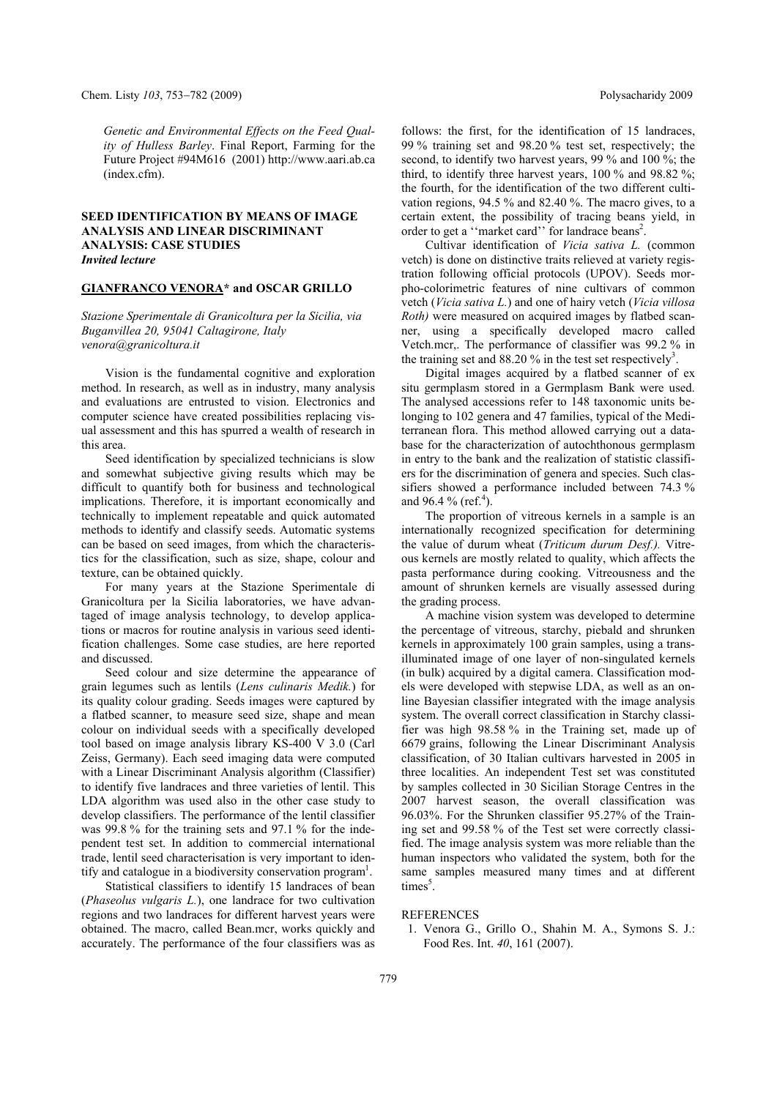*Genetic and Environmental Effects on the Feed Quality of Hulless Barley*. Final Report, Farming for the Future Project #94M616 (2001) http://www.aari.ab.ca (index.cfm).

### **SEED IDENTIFICATION BY MEANS OF IMAGE ANALYSIS AND LINEAR DISCRIMINANT ANALYSIS: CASE STUDIES**  *Invited lecture*

#### **GIANFRANCO VENORA\* and OSCAR GRILLO**

*Stazione Sperimentale di Granicoltura per la Sicilia, via Buganvillea 20, 95041 Caltagirone, Italy venora@granicoltura.it* 

Vision is the fundamental cognitive and exploration method. In research, as well as in industry, many analysis and evaluations are entrusted to vision. Electronics and computer science have created possibilities replacing visual assessment and this has spurred a wealth of research in this area.

Seed identification by specialized technicians is slow and somewhat subjective giving results which may be difficult to quantify both for business and technological implications. Therefore, it is important economically and technically to implement repeatable and quick automated methods to identify and classify seeds. Automatic systems can be based on seed images, from which the characteristics for the classification, such as size, shape, colour and texture, can be obtained quickly.

For many years at the Stazione Sperimentale di Granicoltura per la Sicilia laboratories, we have advantaged of image analysis technology, to develop applications or macros for routine analysis in various seed identification challenges. Some case studies, are here reported and discussed.

Seed colour and size determine the appearance of grain legumes such as lentils (*Lens culinaris Medik.*) for its quality colour grading. Seeds images were captured by a flatbed scanner, to measure seed size, shape and mean colour on individual seeds with a specifically developed tool based on image analysis library KS-400 V 3.0 (Carl Zeiss, Germany). Each seed imaging data were computed with a Linear Discriminant Analysis algorithm (Classifier) to identify five landraces and three varieties of lentil. This LDA algorithm was used also in the other case study to develop classifiers. The performance of the lentil classifier was 99.8 % for the training sets and 97.1 % for the independent test set. In addition to commercial international trade, lentil seed characterisation is very important to identify and catalogue in a biodiversity conservation program<sup>1</sup>.

Statistical classifiers to identify 15 landraces of bean (*Phaseolus vulgaris L.*), one landrace for two cultivation regions and two landraces for different harvest years were obtained. The macro, called Bean.mcr, works quickly and accurately. The performance of the four classifiers was as follows: the first, for the identification of 15 landraces, 99 % training set and 98.20 % test set, respectively; the second, to identify two harvest years, 99 % and 100 %; the third, to identify three harvest years, 100 % and 98.82 %; the fourth, for the identification of the two different cultivation regions, 94.5 % and 82.40 %. The macro gives, to a certain extent, the possibility of tracing beans yield, in order to get a "market card" for landrace beans<sup>2</sup>.

Cultivar identification of *Vicia sativa L.* (common vetch) is done on distinctive traits relieved at variety registration following official protocols (UPOV). Seeds morpho-colorimetric features of nine cultivars of common vetch (*Vicia sativa L.*) and one of hairy vetch (*Vicia villosa Roth)* were measured on acquired images by flatbed scanner, using a specifically developed macro called Vetch.mcr,. The performance of classifier was 99.2 % in the training set and  $88.20\%$  in the test set respectively<sup>3</sup> .

Digital images acquired by a flatbed scanner of ex situ germplasm stored in a Germplasm Bank were used. The analysed accessions refer to 148 taxonomic units belonging to 102 genera and 47 families, typical of the Mediterranean flora. This method allowed carrying out a database for the characterization of autochthonous germplasm in entry to the bank and the realization of statistic classifiers for the discrimination of genera and species. Such classifiers showed a performance included between 74.3 % and 96.4 % (ref.<sup>4</sup>).

The proportion of vitreous kernels in a sample is an internationally recognized specification for determining the value of durum wheat (*Triticum durum Desf.).* Vitreous kernels are mostly related to quality, which affects the pasta performance during cooking. Vitreousness and the amount of shrunken kernels are visually assessed during the grading process.

A machine vision system was developed to determine the percentage of vitreous, starchy, piebald and shrunken kernels in approximately 100 grain samples, using a transilluminated image of one layer of non-singulated kernels (in bulk) acquired by a digital camera. Classification models were developed with stepwise LDA, as well as an online Bayesian classifier integrated with the image analysis system. The overall correct classification in Starchy classifier was high 98.58 % in the Training set, made up of 6679 grains, following the Linear Discriminant Analysis classification, of 30 Italian cultivars harvested in 2005 in three localities. An independent Test set was constituted by samples collected in 30 Sicilian Storage Centres in the 2007 harvest season, the overall classification was 96.03%. For the Shrunken classifier 95.27% of the Training set and 99.58 % of the Test set were correctly classified. The image analysis system was more reliable than the human inspectors who validated the system, both for the same samples measured many times and at different times<sup>5</sup>.

#### **REFERENCES**

 1. Venora G., Grillo O., Shahin M. A., Symons S. J.: Food Res. Int. *40*, 161 (2007).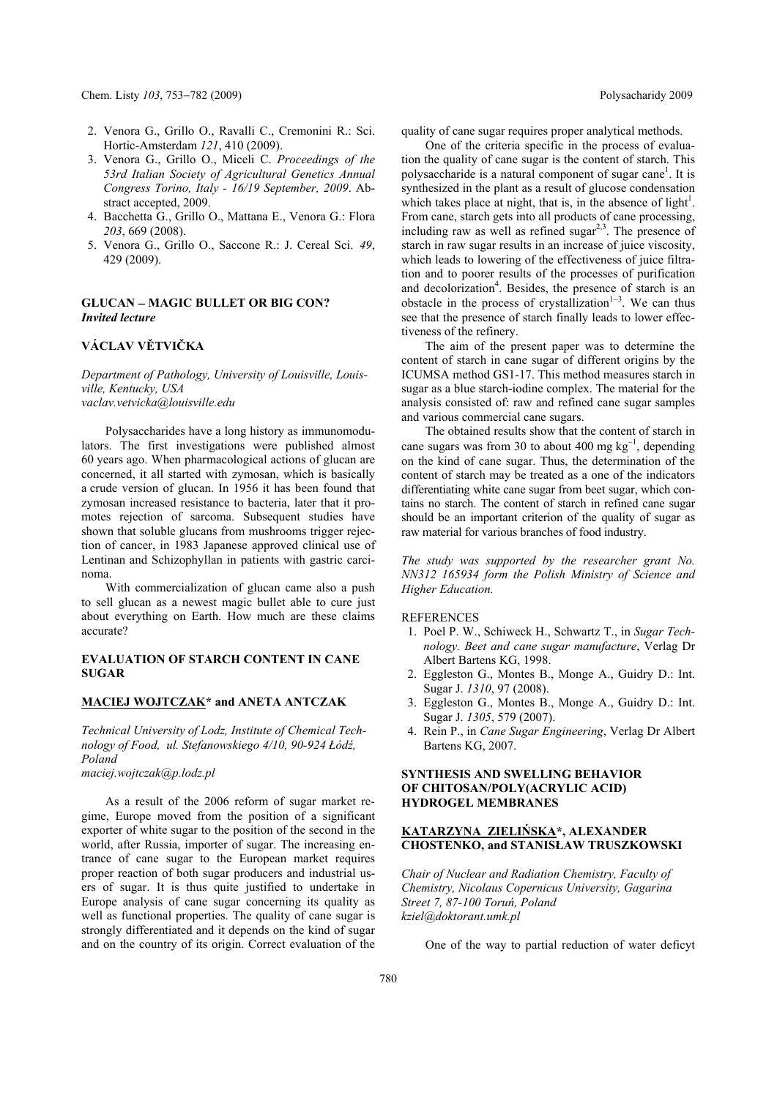Chem. Listy 103, 753–782 (2009) **Polysacharidy 2009** Polysacharidy 2009

- 2. Venora G., Grillo O., Ravalli C., Cremonini R.: Sci. Hortic-Amsterdam *121*, 410 (2009).
- 3. Venora G., Grillo O., Miceli C. *Proceedings of the 53rd Italian Society of Agricultural Genetics Annual Congress Torino, Italy - 16/19 September, 2009*. Abstract accepted, 2009.
- 4. Bacchetta G., Grillo O., Mattana E., Venora G.: Flora *203*, 669 (2008).
- 5. Venora G., Grillo O., Saccone R.: J. Cereal Sci. *49*, 429 (2009).

#### **GLUCAN MAGIC BULLET OR BIG CON?**  *Invited lecture*

# **VÁCLAV VĚTVIČKA**

*Department of Pathology, University of Louisville, Louisville, Kentucky, USA vaclav.vetvicka@louisville.edu* 

Polysaccharides have a long history as immunomodulators. The first investigations were published almost 60 years ago. When pharmacological actions of glucan are concerned, it all started with zymosan, which is basically a crude version of glucan. In 1956 it has been found that zymosan increased resistance to bacteria, later that it promotes rejection of sarcoma. Subsequent studies have shown that soluble glucans from mushrooms trigger rejection of cancer, in 1983 Japanese approved clinical use of Lentinan and Schizophyllan in patients with gastric carcinoma.

With commercialization of glucan came also a push to sell glucan as a newest magic bullet able to cure just about everything on Earth. How much are these claims accurate?

### **EVALUATION OF STARCH CONTENT IN CANE SUGAR**

#### **MACIEJ WOJTCZAK\* and ANETA ANTCZAK**

*Technical University of Lodz, Institute of Chemical Technology of Food, ul. Stefanowskiego 4/10, 90-924 Łódź, Poland maciej.wojtczak@p.lodz.pl* 

As a result of the 2006 reform of sugar market regime, Europe moved from the position of a significant exporter of white sugar to the position of the second in the world, after Russia, importer of sugar. The increasing entrance of cane sugar to the European market requires proper reaction of both sugar producers and industrial users of sugar. It is thus quite justified to undertake in Europe analysis of cane sugar concerning its quality as well as functional properties. The quality of cane sugar is strongly differentiated and it depends on the kind of sugar and on the country of its origin. Correct evaluation of the

quality of cane sugar requires proper analytical methods.

One of the criteria specific in the process of evaluation the quality of cane sugar is the content of starch. This polysaccharide is a natural component of sugar cane<sup>1</sup>. It is synthesized in the plant as a result of glucose condensation which takes place at night, that is, in the absence of light $l$ . From cane, starch gets into all products of cane processing, including raw as well as refined sugar $2<sup>3</sup>$ . The presence of starch in raw sugar results in an increase of juice viscosity, which leads to lowering of the effectiveness of juice filtration and to poorer results of the processes of purification and decolorization<sup>4</sup>. Besides, the presence of starch is an obstacle in the process of crystallization $1-3$ . We can thus see that the presence of starch finally leads to lower effectiveness of the refinery.

The aim of the present paper was to determine the content of starch in cane sugar of different origins by the ICUMSA method GS1-17. This method measures starch in sugar as a blue starch-iodine complex. The material for the analysis consisted of: raw and refined cane sugar samples and various commercial cane sugars.

The obtained results show that the content of starch in cane sugars was from 30 to about 400 mg  $kg^{-1}$ , depending on the kind of cane sugar. Thus, the determination of the content of starch may be treated as a one of the indicators differentiating white cane sugar from beet sugar, which contains no starch. The content of starch in refined cane sugar should be an important criterion of the quality of sugar as raw material for various branches of food industry.

*The study was supported by the researcher grant No. NN312 165934 form the Polish Ministry of Science and Higher Education.* 

REFERENCES

- 1. Poel P. W., Schiweck H., Schwartz T., in *Sugar Technology. Beet and cane sugar manufacture*, Verlag Dr Albert Bartens KG, 1998.
- 2. Eggleston G., Montes B., Monge A., Guidry D.: Int. Sugar J. *1310*, 97 (2008).
- 3. Eggleston G., Montes B., Monge A., Guidry D.: Int. Sugar J. *1305*, 579 (2007).
- 4. Rein P., in *Cane Sugar Engineering*, Verlag Dr Albert Bartens KG, 2007.

## **SYNTHESIS AND SWELLING BEHAVIOR OF CHITOSAN/POLY(ACRYLIC ACID) HYDROGEL MEMBRANES**

### **KATARZYNA ZIELIŃSKA\*, ALEXANDER CHOSTENKO, and STANISŁAW TRUSZKOWSKI**

*Chair of Nuclear and Radiation Chemistry, Faculty of Chemistry, Nicolaus Copernicus University, Gagarina Street 7, 87-100 Toruń, Poland kziel@doktorant.umk.pl* 

One of the way to partial reduction of water deficyt